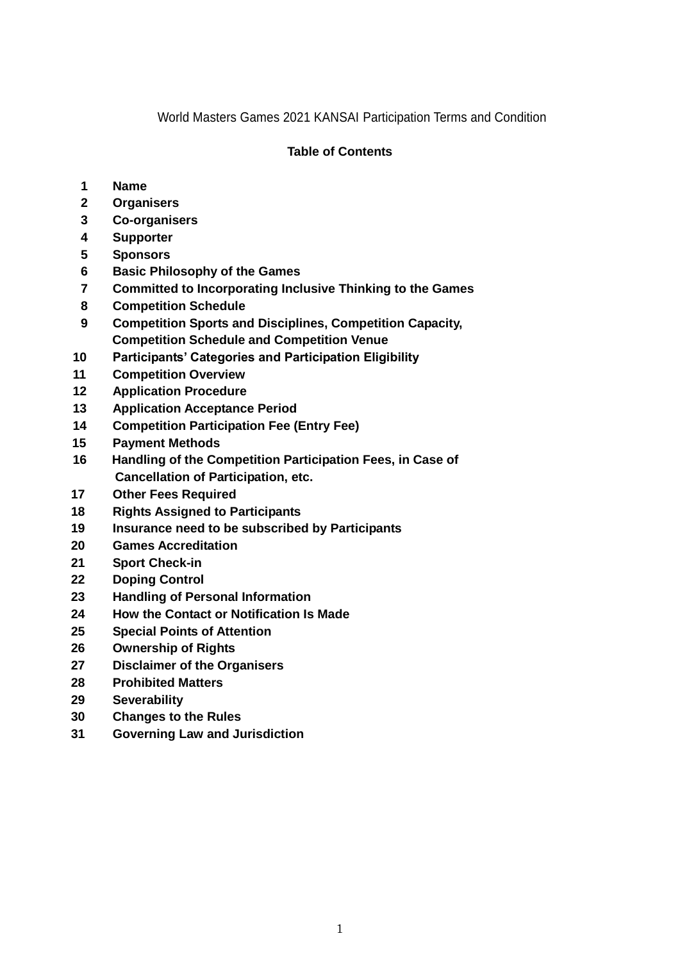World Masters Games 2021 KANSAI Participation Terms and Condition

# **Table of Contents**

- **Name**
- **Organisers**
- **Co-organisers**
- **Supporter**
- **Sponsors**
- **Basic Philosophy of the Games**
- **Committed to Incorporating Inclusive Thinking to the Games**
- **Competition Schedule**
- **Competition Sports and Disciplines, Competition Capacity, Competition Schedule and Competition Venue**
- **Participants' Categories and Participation Eligibility**
- **Competition Overview**
- **Application Procedure**
- **Application Acceptance Period**
- **Competition Participation Fee (Entry Fee)**
- **Payment Methods**
- **16 Handling of the Competition Participation Fees, in Case of Cancellation of Participation, etc.**
- **Other Fees Required**
- **Rights Assigned to Participants**
- **Insurance need to be subscribed by Participants**
- **Games Accreditation**
- **Sport Check-in**
- **Doping Control**
- **Handling of Personal Information**
- **How the Contact or Notification Is Made**
- **Special Points of Attention**
- **Ownership of Rights**
- **Disclaimer of the Organisers**
- **Prohibited Matters**
- **Severability**
- **Changes to the Rules**
- **Governing Law and Jurisdiction**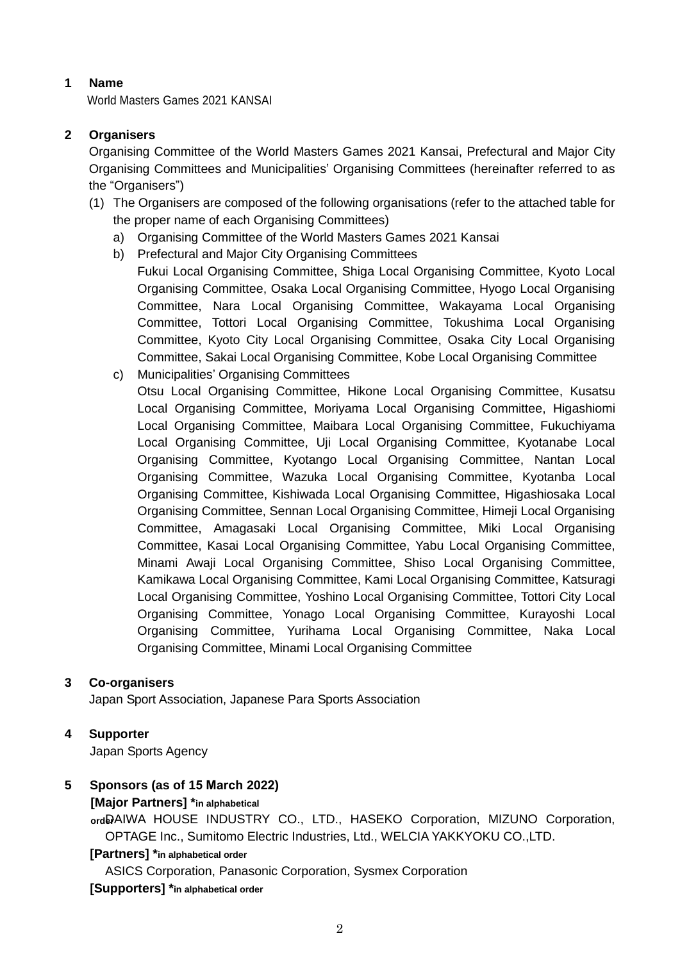# **1 Name**

World Masters Games 2021 KANSAI

# **2 Organisers**

Organising Committee of the World Masters Games 2021 Kansai, Prefectural and Major City Organising Committees and Municipalities' Organising Committees (hereinafter referred to as the "Organisers")

- (1) The Organisers are composed of the following organisations (refer to the attached table for the proper name of each Organising Committees)
	- a) Organising Committee of the World Masters Games 2021 Kansai
	- b) Prefectural and Major City Organising Committees
	- Fukui Local Organising Committee, Shiga Local Organising Committee, Kyoto Local Organising Committee, Osaka Local Organising Committee, Hyogo Local Organising Committee, Nara Local Organising Committee, Wakayama Local Organising Committee, Tottori Local Organising Committee, Tokushima Local Organising Committee, Kyoto City Local Organising Committee, Osaka City Local Organising Committee, Sakai Local Organising Committee, Kobe Local Organising Committee
	- c) Municipalities' Organising Committees Otsu Local Organising Committee, Hikone Local Organising Committee, Kusatsu Local Organising Committee, Moriyama Local Organising Committee, Higashiomi Local Organising Committee, Maibara Local Organising Committee, Fukuchiyama Local Organising Committee, Uji Local Organising Committee, Kyotanabe Local Organising Committee, Kyotango Local Organising Committee, Nantan Local Organising Committee, Wazuka Local Organising Committee, Kyotanba Local Organising Committee, Kishiwada Local Organising Committee, Higashiosaka Local Organising Committee, Sennan Local Organising Committee, Himeji Local Organising Committee, Amagasaki Local Organising Committee, Miki Local Organising Committee, Kasai Local Organising Committee, Yabu Local Organising Committee, Minami Awaji Local Organising Committee, Shiso Local Organising Committee, Kamikawa Local Organising Committee, Kami Local Organising Committee, Katsuragi Local Organising Committee, Yoshino Local Organising Committee, Tottori City Local Organising Committee, Yonago Local Organising Committee, Kurayoshi Local Organising Committee, Yurihama Local Organising Committee, Naka Local Organising Committee, Minami Local Organising Committee

# **3 Co-organisers**

Japan Sport Association, Japanese Para Sports Association

# **4 Supporter**

Japan Sports Agency

# **5 Sponsors (as of 15 March 2022)**

#### **[Major Partners] \*in alphabetical**

ordeAIWA HOUSE INDUSTRY CO., LTD., HASEKO Corporation, MIZUNO Corporation, OPTAGE Inc., Sumitomo Electric Industries, Ltd., WELCIA YAKKYOKU CO.,LTD.

#### **[Partners] \*in alphabetical order**

ASICS Corporation, Panasonic Corporation, Sysmex Corporation

**[Supporters] \*in alphabetical order**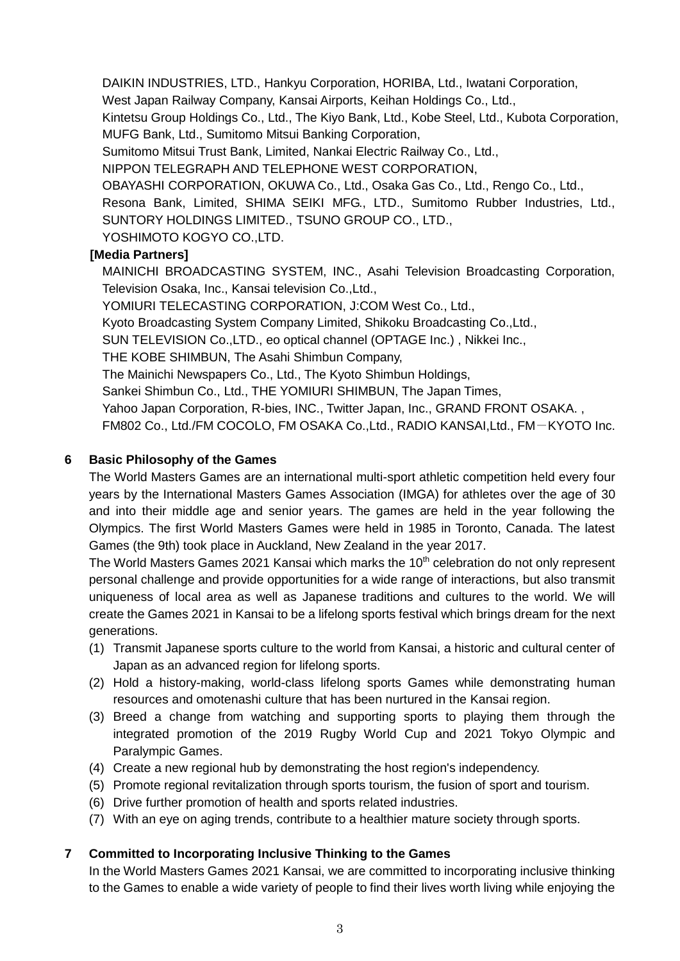DAIKIN INDUSTRIES, LTD., Hankyu Corporation, HORIBA, Ltd., Iwatani Corporation,

West Japan Railway Company, Kansai Airports, Keihan Holdings Co., Ltd.,

Kintetsu Group Holdings Co., Ltd., The Kiyo Bank, Ltd., Kobe Steel, Ltd., Kubota Corporation, MUFG Bank, Ltd., Sumitomo Mitsui Banking Corporation,

Sumitomo Mitsui Trust Bank, Limited, Nankai Electric Railway Co., Ltd.,

NIPPON TELEGRAPH AND TELEPHONE WEST CORPORATION,

OBAYASHI CORPORATION, OKUWA Co., Ltd., Osaka Gas Co., Ltd., Rengo Co., Ltd.,

Resona Bank, Limited, SHIMA SEIKI MFG., LTD., Sumitomo Rubber Industries, Ltd., SUNTORY HOLDINGS LIMITED., TSUNO GROUP CO., LTD.,

YOSHIMOTO KOGYO CO.,LTD.

# **[Media Partners]**

MAINICHI BROADCASTING SYSTEM, INC., Asahi Television Broadcasting Corporation, Television Osaka, Inc., Kansai television Co.,Ltd.,

YOMIURI TELECASTING CORPORATION, J:COM West Co., Ltd.,

Kyoto Broadcasting System Company Limited, Shikoku Broadcasting Co.,Ltd.,

SUN TELEVISION Co.,LTD., eo optical channel (OPTAGE Inc.) , Nikkei Inc.,

THE KOBE SHIMBUN, The Asahi Shimbun Company,

The Mainichi Newspapers Co., Ltd., The Kyoto Shimbun Holdings,

Sankei Shimbun Co., Ltd., THE YOMIURI SHIMBUN, The Japan Times,

Yahoo Japan Corporation, R-bies, INC., Twitter Japan, Inc., GRAND FRONT OSAKA.,

FM802 Co., Ltd./FM COCOLO, FM OSAKA Co.,Ltd., RADIO KANSAI,Ltd., FM-KYOTO Inc.

# **6 Basic Philosophy of the Games**

The World Masters Games are an international multi-sport athletic competition held every four years by the International Masters Games Association (IMGA) for athletes over the age of 30 and into their middle age and senior years. The games are held in the year following the Olympics. The first World Masters Games were held in 1985 in Toronto, Canada. The latest Games (the 9th) took place in Auckland, New Zealand in the year 2017.

The World Masters Games 2021 Kansai which marks the 10<sup>th</sup> celebration do not only represent personal challenge and provide opportunities for a wide range of interactions, but also transmit uniqueness of local area as well as Japanese traditions and cultures to the world. We will create the Games 2021 in Kansai to be a lifelong sports festival which brings dream for the next generations.

- (1) Transmit Japanese sports culture to the world from Kansai, a historic and cultural center of Japan as an advanced region for lifelong sports.
- (2) Hold a history-making, world-class lifelong sports Games while demonstrating human resources and omotenashi culture that has been nurtured in the Kansai region.
- (3) Breed a change from watching and supporting sports to playing them through the integrated promotion of the 2019 Rugby World Cup and 2021 Tokyo Olympic and Paralympic Games.
- (4) Create a new regional hub by demonstrating the host region's independency.
- (5) Promote regional revitalization through sports tourism, the fusion of sport and tourism.
- (6) Drive further promotion of health and sports related industries.
- (7) With an eye on aging trends, contribute to a healthier mature society through sports.

# **7 Committed to Incorporating Inclusive Thinking to the Games**

In the World Masters Games 2021 Kansai, we are committed to incorporating inclusive thinking to the Games to enable a wide variety of people to find their lives worth living while enjoying the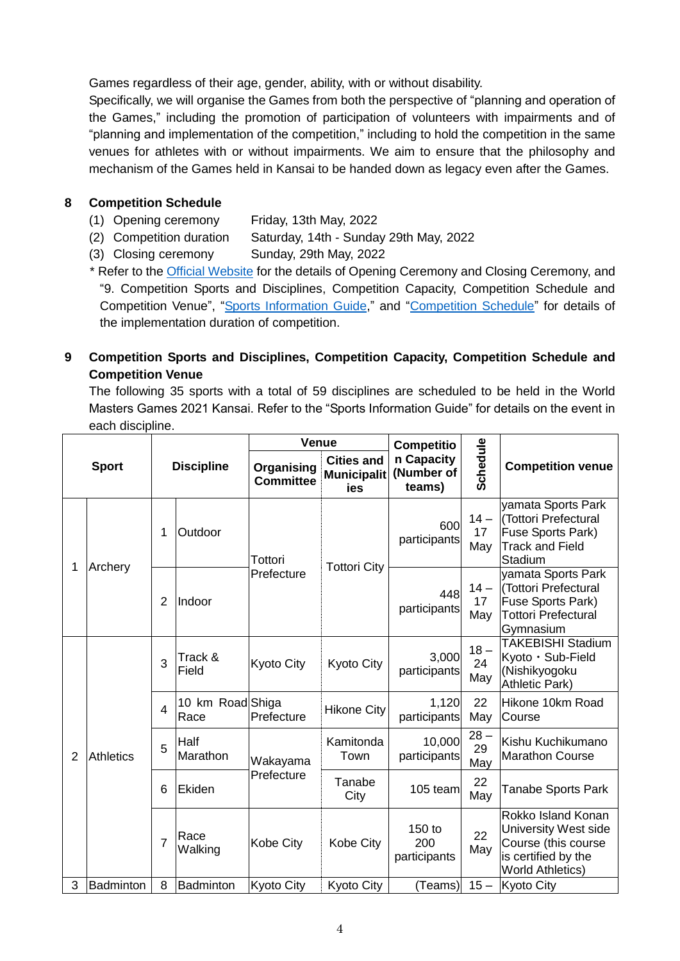Games regardless of their age, gender, ability, with or without disability.

Specifically, we will organise the Games from both the perspective of "planning and operation of the Games," including the promotion of participation of volunteers with impairments and of "planning and implementation of the competition," including to hold the competition in the same venues for athletes with or without impairments. We aim to ensure that the philosophy and mechanism of the Games held in Kansai to be handed down as legacy even after the Games.

### **8 Competition Schedule**

- (1) Opening ceremony Friday, 13th May, 2022
- (2) Competition duration Saturday, 14th Sunday 29th May, 2022
- (3) Closing ceremony Sunday, 29th May, 2022

\* Refer to the [Official Website](https://www.wmg2021.jp/en/) for the details of Opening Ceremony and Closing Ceremony, and "9. Competition Sports and Disciplines, Competition Capacity, Competition Schedule and Competition Venue", "[Sports Information Guide,](https://www.wmg2021.jp/en/games/list)" and "[Competition Schedule](https://www.wmg2021.jp/en/games/schedule.html)" for details of the implementation duration of competition.

# **9 Competition Sports and Disciplines, Competition Capacity, Competition Schedule and Competition Venue**

The following 35 sports with a total of 59 disciplines are scheduled to be held in the World Masters Games 2021 Kansai. Refer to the "Sports Information Guide" for details on the event in each discipline.

|                |                  |                |                          | Venue                          |                                                | <b>Competitio</b>                  |                     |                                                                                                                     |
|----------------|------------------|----------------|--------------------------|--------------------------------|------------------------------------------------|------------------------------------|---------------------|---------------------------------------------------------------------------------------------------------------------|
|                | <b>Sport</b>     |                | <b>Discipline</b>        | Organising<br><b>Committee</b> | <b>Cities and</b><br><b>Municipalit</b><br>ies | n Capacity<br>(Number of<br>teams) | Schedule            | <b>Competition venue</b>                                                                                            |
| 1              | Archery          | 1              | Outdoor                  | Tottori                        | <b>Tottori City</b>                            | 600<br>participants                | $14 -$<br>17<br>May | yamata Sports Park<br>(Tottori Prefectural<br>Fuse Sports Park)<br><b>Track and Field</b><br>Stadium                |
|                |                  | 2              | Indoor                   | Prefecture                     |                                                | 448<br>participants                | $14 -$<br>17<br>May | yamata Sports Park<br>(Tottori Prefectural<br>Fuse Sports Park)<br><b>Tottori Prefectural</b><br>Gymnasium          |
|                |                  | 3              | Track &<br>Field         | <b>Kyoto City</b>              | Kyoto City                                     | 3,000<br>participants              | $18 -$<br>24<br>May | <b>TAKEBISHI Stadium</b><br>Kyoto · Sub-Field<br>(Nishikyogoku<br>Athletic Park)                                    |
| $\overline{2}$ | <b>Athletics</b> | $\overline{4}$ | 10 km Road Shiga<br>Race | Prefecture                     | <b>Hikone City</b>                             | 1,120<br>participants              | 22<br>May           | Hikone 10km Road<br>Course                                                                                          |
|                |                  | 5              | Half<br>Marathon         | Wakayama                       | Kamitonda<br>Town                              | 10,000<br>participants             | $28 -$<br>29<br>May | Kishu Kuchikumano<br><b>Marathon Course</b>                                                                         |
|                |                  | 6              | Ekiden                   | Prefecture                     | Tanabe<br>City                                 | 105 team                           | 22<br>May           | Tanabe Sports Park                                                                                                  |
|                |                  | $\overline{7}$ | Race<br>Walking          | <b>Kobe City</b>               | Kobe City                                      | 150 to<br>200<br>participants      | 22<br>May           | Rokko Island Konan<br>University West side<br>Course (this course<br>is certified by the<br><b>World Athletics)</b> |
| 3              | Badminton        | 8              | Badminton                | Kyoto City                     | <b>Kyoto City</b>                              | (Teams)                            | $15 -$              | <b>Kyoto City</b>                                                                                                   |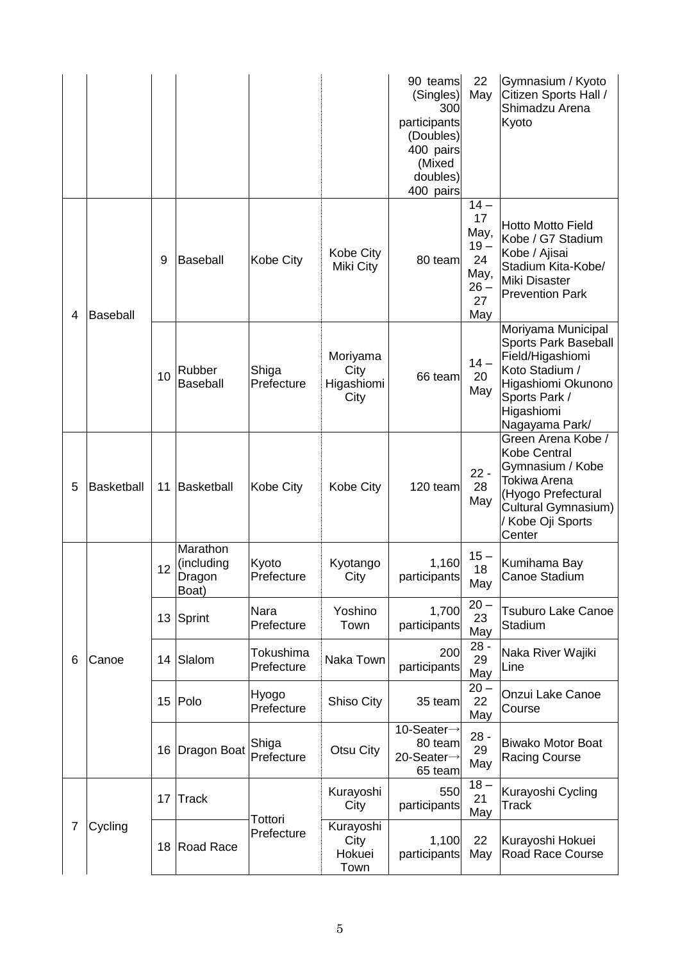|   |                   |                 |                                           |                         |                                        | 90 teams<br>(Singles)<br>300<br>participants<br>(Doubles)<br>400 pairs<br>(Mixed<br>doubles)<br>400 pairs | 22<br>May                                                          | Gymnasium / Kyoto<br>Citizen Sports Hall /<br>Shimadzu Arena<br>Kyoto                                                                                   |
|---|-------------------|-----------------|-------------------------------------------|-------------------------|----------------------------------------|-----------------------------------------------------------------------------------------------------------|--------------------------------------------------------------------|---------------------------------------------------------------------------------------------------------------------------------------------------------|
| 4 | <b>Baseball</b>   | 9               | <b>Baseball</b>                           | Kobe City               | Kobe City<br>Miki City                 | 80 team                                                                                                   | $14-$<br>17<br>May,<br>$19 -$<br>24<br>May,<br>$26 -$<br>27<br>May | <b>Hotto Motto Field</b><br>Kobe / G7 Stadium<br>Kobe / Ajisai<br>Stadium Kita-Kobe/<br>Miki Disaster<br><b>Prevention Park</b>                         |
|   |                   | 10              | Rubber<br><b>Baseball</b>                 | Shiga<br>Prefecture     | Moriyama<br>City<br>Higashiomi<br>City | 66 team                                                                                                   | $14 -$<br>20<br>May                                                | Moriyama Municipal<br>Sports Park Baseball<br>Field/Higashiomi<br>Koto Stadium /<br>Higashiomi Okunono<br>Sports Park /<br>Higashiomi<br>Nagayama Park/ |
| 5 | <b>Basketball</b> | 11              | Basketball                                | Kobe City               | Kobe City                              | 120 team                                                                                                  | $22 -$<br>28<br>May                                                | Green Arena Kobe /<br>Kobe Central<br>Gymnasium / Kobe<br>Tokiwa Arena<br>(Hyogo Prefectural<br>Cultural Gymnasium)<br>/ Kobe Oji Sports<br>Center      |
|   |                   | 12              | Marathon<br>(including<br>Dragon<br>Boat) | Kyoto<br>Prefecture     | Kyotango<br>City                       | 1,160<br>participants                                                                                     | $15 -$<br>18<br>May                                                | Kumihama Bay<br>Canoe Stadium                                                                                                                           |
|   |                   |                 | 13 Sprint                                 | Nara<br>Prefecture      | Yoshino<br>Town                        | 1,700<br>participants                                                                                     | $20 -$<br>23<br>May                                                | <b>Tsuburo Lake Canoe</b><br>Stadium                                                                                                                    |
| 6 | Canoe             | 14              | Slalom                                    | Tokushima<br>Prefecture | Naka Town                              | 200<br>participants                                                                                       | $28 -$<br>29<br>May                                                | Naka River Wajiki<br>Line                                                                                                                               |
|   |                   | 15 <sub>1</sub> | Polo                                      | Hyogo<br>Prefecture     | Shiso City                             | 35 team                                                                                                   | $20 -$<br>22<br>May                                                | Onzui Lake Canoe<br>Course                                                                                                                              |
|   |                   | 16              | Dragon Boat                               | Shiga<br>Prefecture     | Otsu City                              | 10-Seater→<br>80 team<br>20-Seater→<br>65 team                                                            | $28 -$<br>29<br>May                                                | <b>Biwako Motor Boat</b><br><b>Racing Course</b>                                                                                                        |
|   |                   | 17              | <b>Track</b>                              | Tottori                 | Kurayoshi<br>City                      | 550<br>participants                                                                                       | $18-$<br>21<br>May                                                 | Kurayoshi Cycling<br><b>Track</b>                                                                                                                       |
| 7 | Cycling           | 18              | <b>Road Race</b>                          | Prefecture              | Kurayoshi<br>City<br>Hokuei<br>Town    | 1,100<br>participants                                                                                     | 22<br>May                                                          | Kurayoshi Hokuei<br>Road Race Course                                                                                                                    |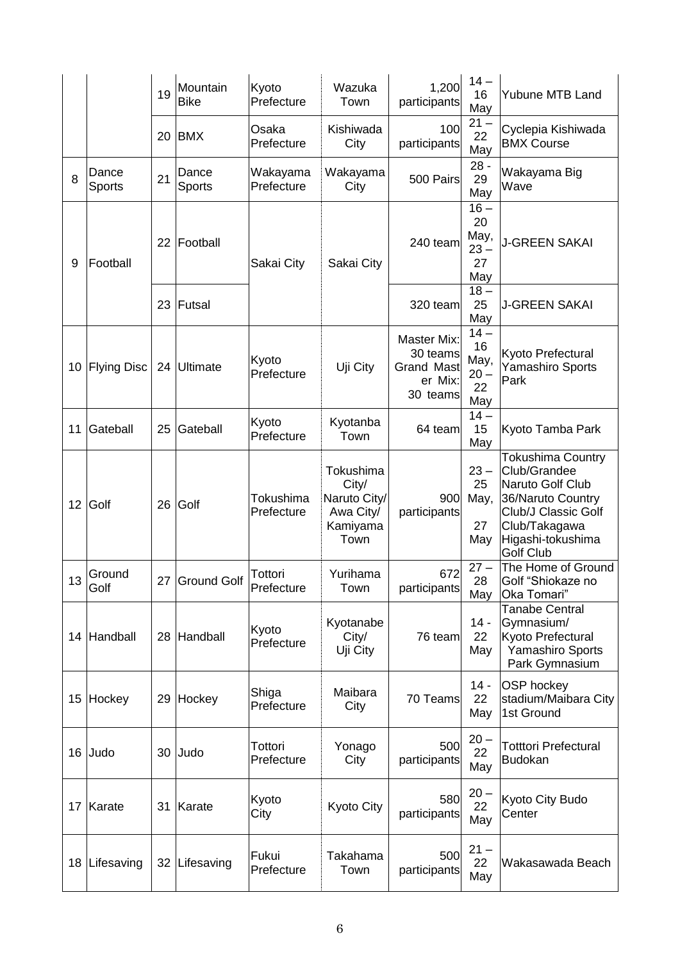|    |                    | 19 | Mountain<br><b>Bike</b> | Kyoto<br>Prefecture     | Wazuka<br>Town                                                      | 1,200<br>participants                                                      | $14 -$<br>16<br>May                        | Yubune MTB Land                                                                                                                                             |
|----|--------------------|----|-------------------------|-------------------------|---------------------------------------------------------------------|----------------------------------------------------------------------------|--------------------------------------------|-------------------------------------------------------------------------------------------------------------------------------------------------------------|
|    |                    | 20 | <b>BMX</b>              | Osaka<br>Prefecture     | Kishiwada<br>City                                                   | 100<br>participants                                                        | $21 -$<br>22<br>May                        | Cyclepia Kishiwada<br><b>BMX Course</b>                                                                                                                     |
| 8  | Dance<br>Sports    | 21 | Dance<br>Sports         | Wakayama<br>Prefecture  | Wakayama<br>City                                                    | 500 Pairs                                                                  | $28 -$<br>29<br>May                        | Wakayama Big<br>Wave                                                                                                                                        |
| 9  | Football           | 22 | Football                | Sakai City              | Sakai City                                                          | 240 team                                                                   | $16-$<br>20<br>May,<br>$23 -$<br>27<br>May | <b>J-GREEN SAKAI</b>                                                                                                                                        |
|    |                    | 23 | Futsal                  |                         |                                                                     | 320 team                                                                   | $18-$<br>25<br>May                         | <b>J-GREEN SAKAI</b>                                                                                                                                        |
| 10 | <b>Flying Disc</b> |    | 24 Ultimate             | Kyoto<br>Prefecture     | Uji City                                                            | <b>Master Mix:</b><br>30 teams<br><b>Grand Mast</b><br>er Mix:<br>30 teams | $14-$<br>16<br>May,<br>$20 -$<br>22<br>May | Kyoto Prefectural<br>Yamashiro Sports<br>Park                                                                                                               |
| 11 | Gateball           | 25 | Gateball                | Kyoto<br>Prefecture     | Kyotanba<br>Town                                                    | 64 team                                                                    | $14-$<br>15<br>May                         | Kyoto Tamba Park                                                                                                                                            |
| 12 | Golf               | 26 | Golf                    | Tokushima<br>Prefecture | Tokushima<br>City/<br>Naruto City/<br>Awa City/<br>Kamiyama<br>Town | 900<br>participants                                                        | $23 -$<br>25<br>May,<br>27<br>May          | Tokushima Country<br>Club/Grandee<br>Naruto Golf Club<br>36/Naruto Country<br>Club/J Classic Golf<br>Club/Takagawa<br>Higashi-tokushima<br><b>Golf Club</b> |
| 13 | Ground<br>Golf     |    | 27 Ground Golf          | Tottori<br>Prefecture   | Yurihama<br>Town                                                    | 672<br>participants                                                        | $27 -$<br>28<br>May                        | The Home of Ground<br>Golf "Shiokaze no<br>Oka Tomari"                                                                                                      |
| 14 | Handball           |    | 28 Handball             | Kyoto<br>Prefecture     | Kyotanabe<br>City/<br>Uji City                                      | 76 team                                                                    | $14 -$<br>22<br>May                        | <b>Tanabe Central</b><br>Gymnasium/<br>Kyoto Prefectural<br>Yamashiro Sports<br>Park Gymnasium                                                              |
| 15 | Hockey             | 29 | Hockey                  | Shiga<br>Prefecture     | Maibara<br>City                                                     | 70 Teams                                                                   | $14 -$<br>22<br>May                        | <b>OSP</b> hockey<br>stadium/Maibara City<br>1st Ground                                                                                                     |
| 16 | Judo               | 30 | Judo                    | Tottori<br>Prefecture   | Yonago<br>City                                                      | 500<br>participants                                                        | $20 -$<br>22<br>May                        | <b>Totttori Prefectural</b><br><b>Budokan</b>                                                                                                               |
| 17 | Karate             | 31 | Karate                  | Kyoto<br>City           | Kyoto City                                                          | 580<br>participants                                                        | $20 -$<br>22<br>May                        | Kyoto City Budo<br>Center                                                                                                                                   |
| 18 | Lifesaving         | 32 | Lifesaving              | Fukui<br>Prefecture     | Takahama<br>Town                                                    | 500<br>participants                                                        | $21 -$<br>22<br>May                        | Wakasawada Beach                                                                                                                                            |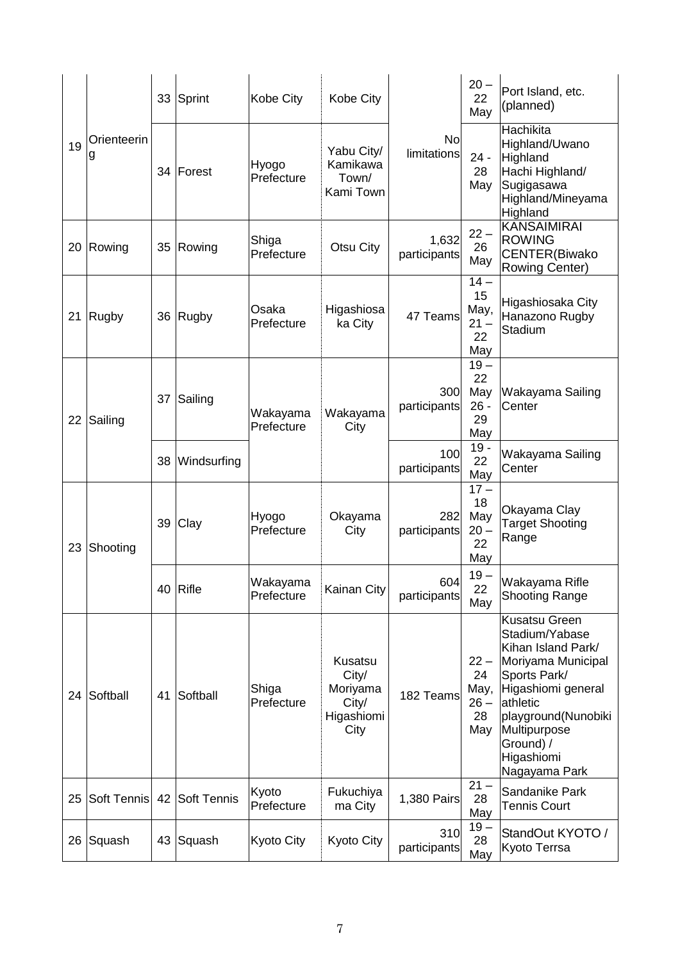|    |                  |    | 33 Sprint    | Kobe City              | Kobe City                                                   |                          | $20 -$<br>22<br>May                         | Port Island, etc.<br>(planned)                                                                                                                                                                                          |
|----|------------------|----|--------------|------------------------|-------------------------------------------------------------|--------------------------|---------------------------------------------|-------------------------------------------------------------------------------------------------------------------------------------------------------------------------------------------------------------------------|
| 19 | Orienteerin<br>g |    | 34 Forest    | Hyogo<br>Prefecture    | Yabu City/<br>Kamikawa<br>Town/<br>Kami Town                | No<br><i>limitations</i> | $24 -$<br>28<br>May                         | Hachikita<br>Highland/Uwano<br>Highland<br>Hachi Highland/<br>Sugigasawa<br>Highland/Mineyama<br>Highland                                                                                                               |
| 20 | Rowing           | 35 | Rowing       | Shiga<br>Prefecture    | Otsu City                                                   | 1,632<br>participants    | $22 -$<br>26<br>May                         | <b>KANSAIMIRAI</b><br><b>ROWING</b><br>CENTER(Biwako<br><b>Rowing Center)</b>                                                                                                                                           |
| 21 | <b>Rugby</b>     | 36 | <b>Rugby</b> | Osaka<br>Prefecture    | Higashiosa<br>ka City                                       | 47 Teams                 | $14-$<br>15<br>May,<br>$21 -$<br>22<br>May  | Higashiosaka City<br>Hanazono Rugby<br>Stadium                                                                                                                                                                          |
| 22 | Sailing          | 37 | Sailing      | Wakayama<br>Prefecture | Wakayama<br>City                                            | 300<br>participants      | $19 -$<br>22<br>May<br>$26 -$<br>29<br>May  | Wakayama Sailing<br>Center                                                                                                                                                                                              |
|    |                  | 38 | Windsurfing  |                        |                                                             | 100<br>participants      | $19 -$<br>22<br>May                         | Wakayama Sailing<br>Center                                                                                                                                                                                              |
| 23 | Shooting         | 39 | Clay         | Hyogo<br>Prefecture    | Okayama<br>City                                             | 282<br>participants      | $17 -$<br>18<br>May<br>$20 -$<br>22<br>May  | Okayama Clay<br><b>Target Shooting</b><br>Range                                                                                                                                                                         |
|    |                  | 40 | <b>Rifle</b> | Wakayama<br>Prefecture | Kainan City                                                 | 604<br>participants      | $19-$<br>22<br>May                          | Wakayama Rifle<br><b>Shooting Range</b>                                                                                                                                                                                 |
| 24 | Softball         | 41 | Softball     | Shiga<br>Prefecture    | Kusatsu<br>City/<br>Moriyama<br>City/<br>Higashiomi<br>City | 182 Teams                | $22 -$<br>24<br>May,<br>$26 -$<br>28<br>May | <b>Kusatsu Green</b><br>Stadium/Yabase<br>Kihan Island Park/<br>Moriyama Municipal<br>Sports Park/<br>Higashiomi general<br>athletic<br>playground(Nunobiki<br>Multipurpose<br>Ground) /<br>Higashiomi<br>Nagayama Park |
| 25 | Soft Tennis      | 42 | Soft Tennis  | Kyoto<br>Prefecture    | Fukuchiya<br>ma City                                        | 1,380 Pairs              | $21 -$<br>28<br>May                         | Sandanike Park<br><b>Tennis Court</b>                                                                                                                                                                                   |
| 26 | Squash           | 43 | Squash       | Kyoto City             | Kyoto City                                                  | 310<br>participants      | $19-$<br>28<br>May                          | StandOut KYOTO /<br>Kyoto Terrsa                                                                                                                                                                                        |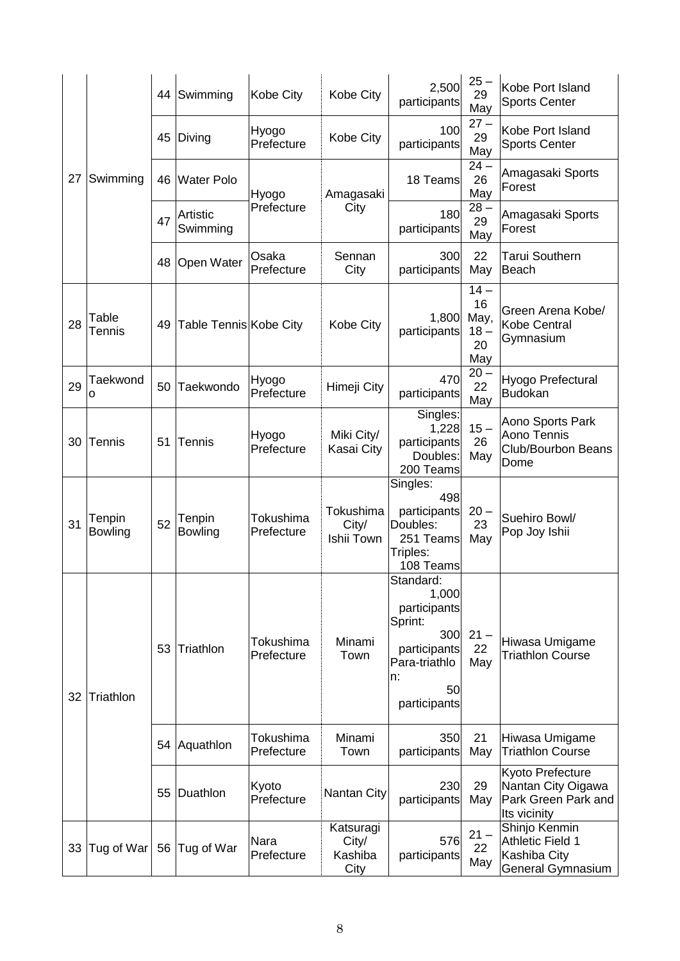|    |                   |    | 44 Swimming                   | Kobe City               | Kobe City                             | 2,500<br>participants                                                                                             | $25 -$<br>29<br>May                        | Kobe Port Island<br><b>Sports Center</b>                                      |
|----|-------------------|----|-------------------------------|-------------------------|---------------------------------------|-------------------------------------------------------------------------------------------------------------------|--------------------------------------------|-------------------------------------------------------------------------------|
|    |                   | 45 | Diving                        | Hyogo<br>Prefecture     | Kobe City                             | 100<br>participants                                                                                               | $27 -$<br>29<br>May                        | Kobe Port Island<br><b>Sports Center</b>                                      |
| 27 | Swimming          | 46 | <b>Water Polo</b>             | Hyogo                   | Amagasaki                             | 18 Teams                                                                                                          | $24 -$<br>26<br>May                        | Amagasaki Sports<br>Forest                                                    |
|    |                   | 47 | Artistic<br>Swimming          | Prefecture              | City                                  | 180<br>participants                                                                                               | $28 -$<br>29<br>May                        | Amagasaki Sports<br>Forest                                                    |
|    |                   | 48 | <b>Open Water</b>             | Osaka<br>Prefecture     | Sennan<br>City                        | 300<br>participants                                                                                               | 22<br>May                                  | <b>Tarui Southern</b><br>Beach                                                |
| 28 | Table<br>Tennis   | 49 | <b>Table Tennis Kobe City</b> |                         | Kobe City                             | 1,800<br>participants                                                                                             | $14-$<br>16<br>May,<br>$18 -$<br>20<br>May | Green Arena Kobe/<br>Kobe Central<br>Gymnasium                                |
| 29 | Taekwond<br>o     | 50 | Taekwondo                     | Hyogo<br>Prefecture     | Himeji City                           | 470<br>participants                                                                                               | $20 -$<br>22<br>May                        | Hyogo Prefectural<br><b>Budokan</b>                                           |
| 30 | Tennis            | 51 | Tennis                        | Hyogo<br>Prefecture     | Miki City/<br>Kasai City              | Singles:<br>1,228<br>participants<br>Doubles:<br>200 Teams                                                        | $15-$<br>26<br>May                         | Aono Sports Park<br>Aono Tennis<br>Club/Bourbon Beans<br>Dome                 |
| 31 | Tenpin<br>Bowling | 52 | Tenpin<br><b>Bowling</b>      | Tokushima<br>Prefecture | Tokushima<br>City/<br>Ishii Town      | Singles:<br>498<br>participants<br>Doubles:<br>251 Teams<br>Triples:<br>108 Teams                                 | $20 -$<br>23<br>May                        | Suehiro Bowl/<br>Pop Joy Ishii                                                |
| 32 | Triathlon         | 53 | Triathlon                     | Tokushima<br>Prefecture | Minami<br>Town                        | Standard:<br>1,000<br>participants<br>Sprint:<br>300<br>participants<br>Para-triathlo<br>n:<br>50<br>participants | $21 -$<br>22<br>May                        | Hiwasa Umigame<br><b>Triathlon Course</b>                                     |
|    |                   |    | 54 Aquathlon                  | Tokushima<br>Prefecture | Minami<br>Town                        | 350<br>participants                                                                                               | 21<br>May                                  | Hiwasa Umigame<br><b>Triathlon Course</b>                                     |
|    |                   | 55 | Duathlon                      | Kyoto<br>Prefecture     | Nantan City                           | 230<br>participants                                                                                               | 29<br>May                                  | Kyoto Prefecture<br>Nantan City Oigawa<br>Park Green Park and<br>Its vicinity |
| 33 | Tug of War        |    | 56 Tug of War                 | Nara<br>Prefecture      | Katsuragi<br>City/<br>Kashiba<br>City | 576<br>participants                                                                                               | $21 -$<br>22<br>May                        | Shinjo Kenmin<br>Athletic Field 1<br>Kashiba City<br>General Gymnasium        |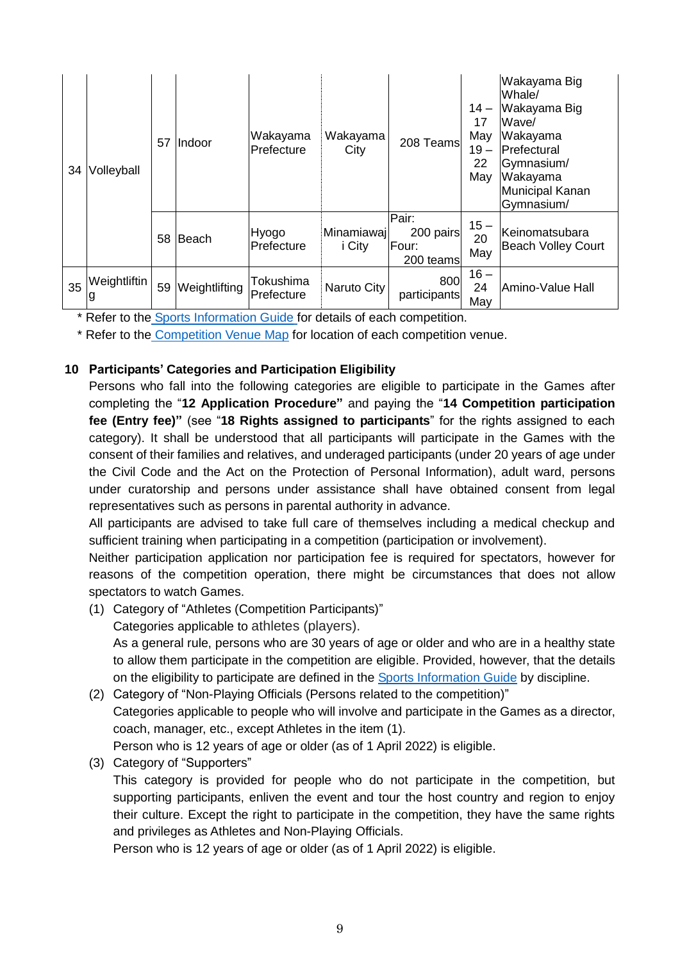| 34 | Volleyball        | 57 | lIndoor       | Wakayama<br>Prefecture  | Wakayama<br>City     | 208 Teams                                | $14 -$<br>17<br>May<br>$19 -$<br>22<br>May | Wakayama Big<br>Whale/<br>Wakayama Big<br>Wave/<br>Wakayama<br>Prefectural<br>Gymnasium/<br>Wakayama<br>Municipal Kanan<br>Gymnasium/ |
|----|-------------------|----|---------------|-------------------------|----------------------|------------------------------------------|--------------------------------------------|---------------------------------------------------------------------------------------------------------------------------------------|
|    |                   | 58 | Beach         | Hyogo<br>Prefecture     | Minamiawaj<br>i City | Pair:<br>200 pairs<br>Four:<br>200 teams | $15-$<br>20<br>May                         | Keinomatsubara<br><b>Beach Volley Court</b>                                                                                           |
| 35 | Weightliftin<br>g | 59 | Weightlifting | Tokushima<br>Prefecture | Naruto City          | 800<br>participants                      | $16 -$<br>24<br>May                        | Amino-Value Hall                                                                                                                      |

\* Refer to the [Sports Information Guide](https://www.wmg2021.jp/en/games/list) for details of each competition.

\* Refer to the [Competition Venue Map](https://wmg2021.jp/en/games/pdf/venue.pdf) for location of each competition venue.

# **10 Participants' Categories and Participation Eligibility**

Persons who fall into the following categories are eligible to participate in the Games after completing the "**12 Application Procedure"** and paying the "**14 Competition participation fee (Entry fee)"** (see "**18 Rights assigned to participants**" for the rights assigned to each category). It shall be understood that all participants will participate in the Games with the consent of their families and relatives, and underaged participants (under 20 years of age under the Civil Code and the Act on the Protection of Personal Information), adult ward, persons under curatorship and persons under assistance shall have obtained consent from legal representatives such as persons in parental authority in advance.

All participants are advised to take full care of themselves including a medical checkup and sufficient training when participating in a competition (participation or involvement).

Neither participation application nor participation fee is required for spectators, however for reasons of the competition operation, there might be circumstances that does not allow spectators to watch Games.

- (1) Category of "Athletes (Competition Participants)" Categories applicable to athletes (players). As a general rule, persons who are 30 years of age or older and who are in a healthy state to allow them participate in the competition are eligible. Provided, however, that the details on the eligibility to participate are defined in the [Sports Information Guide](https://www.wmg2021.jp/en/games/list) by discipline. (2) Category of "Non-Playing Officials (Persons related to the competition)"
- Categories applicable to people who will involve and participate in the Games as a director, coach, manager, etc., except Athletes in the item (1). Person who is 12 years of age or older (as of 1 April 2022) is eligible.
- (3) Category of "Supporters"

This category is provided for people who do not participate in the competition, but supporting participants, enliven the event and tour the host country and region to enjoy their culture. Except the right to participate in the competition, they have the same rights and privileges as Athletes and Non-Playing Officials.

Person who is 12 years of age or older (as of 1 April 2022) is eligible.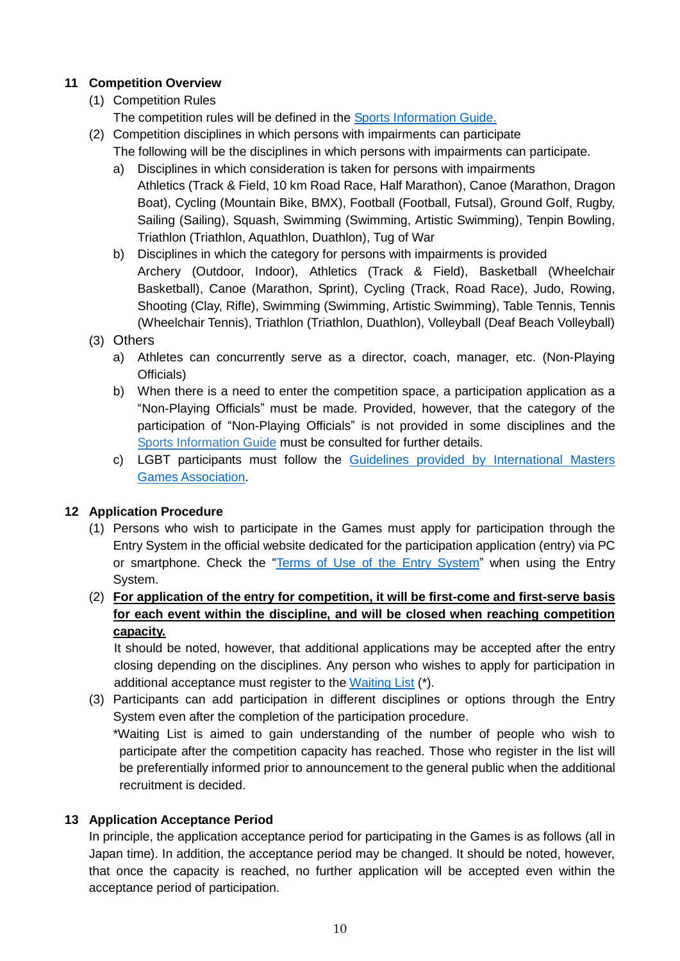# **11 Competition Overview**

# (1) Competition Rules

The competition rules will be defined in the **Sports Information Guide.** 

- (2) Competition disciplines in which persons with impairments can participate The following will be the disciplines in which persons with impairments can participate.
	- a) Disciplines in which consideration is taken for persons with impairments Athletics (Track & Field, 10 km Road Race, Half Marathon), Canoe (Marathon, Dragon Boat), Cycling (Mountain Bike, BMX), Football (Football, Futsal), Ground Golf, Rugby, Sailing (Sailing), Squash, Swimming (Swimming, Artistic Swimming), Tenpin Bowling, Triathlon (Triathlon, Aquathlon, Duathlon), Tug of War
	- b) Disciplines in which the category for persons with impairments is provided Archery (Outdoor, Indoor), Athletics (Track & Field), Basketball (Wheelchair Basketball), Canoe (Marathon, Sprint), Cycling (Track, Road Race), Judo, Rowing, Shooting (Clay, Rifle), Swimming (Swimming, Artistic Swimming), Table Tennis, Tennis (Wheelchair Tennis), Triathlon (Triathlon, Duathlon), Volleyball (Deaf Beach Volleyball)

# (3) Others

- a) Athletes can concurrently serve as a director, coach, manager, etc. (Non-Playing Officials)
- b) When there is a need to enter the competition space, a participation application as a "Non-Playing Officials" must be made. Provided, however, that the category of the participation of "Non-Playing Officials" is not provided in some disciplines and the [Sports Information Guide](https://www.wmg2021.jp/en/games/list) must be consulted for further details.
- c) LGBT participants must follow the Guidelines provided by International Masters [Games Association.](https://www.wmg2021.jp/games/pdf/imga-guideline.pdf)

# **12 Application Procedure**

- (1) Persons who wish to participate in the Games must apply for participation through the Entry System in the official website dedicated for the participation application (entry) via PC or smartphone. Check the "Terms of Use of [the Entry System](https://www.wmg2021.jp/en/games/pdf/entry-system.pdf)" when using the Entry System.
- (2) **For application of the entry for competition, it will be first-come and first-serve basis for each event within the discipline, and will be closed when reaching competition capacity.**

It should be noted, however, that additional applications may be accepted after the entry closing depending on the disciplines. Any person who wishes to apply for participation in additional acceptance must register to the [Waiting List](https://www.wmg2021.jp/en/news/detail?id=1350) (\*).

(3) Participants can add participation in different disciplines or options through the Entry System even after the completion of the participation procedure.

\*Waiting List is aimed to gain understanding of the number of people who wish to participate after the competition capacity has reached. Those who register in the list will be preferentially informed prior to announcement to the general public when the additional recruitment is decided.

# **13 Application Acceptance Period**

In principle, the application acceptance period for participating in the Games is as follows (all in Japan time). In addition, the acceptance period may be changed. It should be noted, however, that once the capacity is reached, no further application will be accepted even within the acceptance period of participation.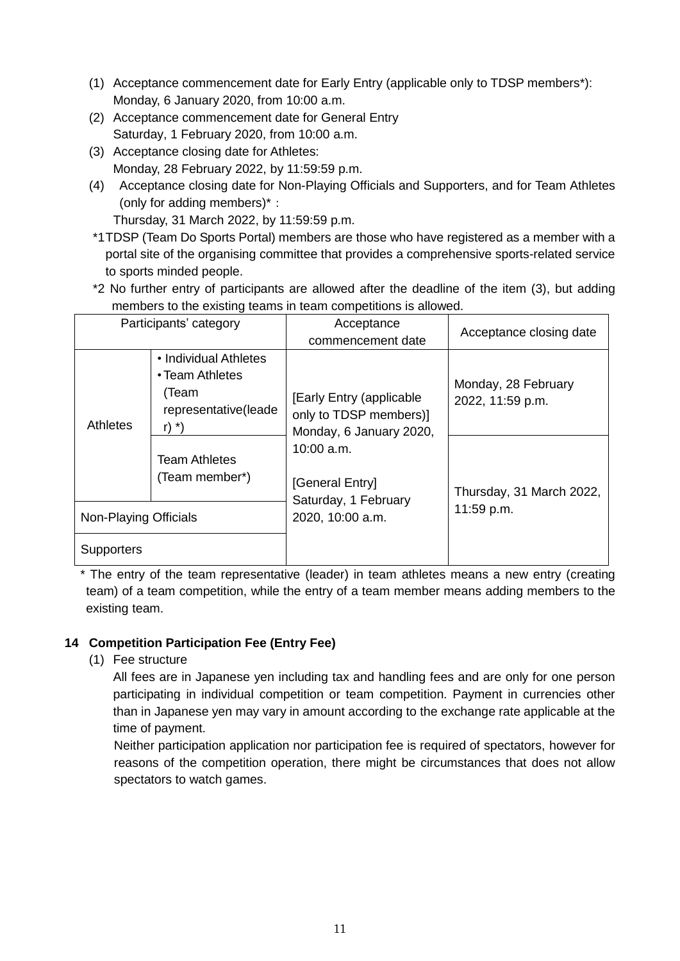- (1) Acceptance commencement date for Early Entry (applicable only to TDSP members\*): Monday, 6 January 2020, from 10:00 a.m.
- (2) Acceptance commencement date for General Entry Saturday, 1 February 2020, from 10:00 a.m.
- (3) Acceptance closing date for Athletes: Monday, 28 February 2022, by 11:59:59 p.m.
- (4) Acceptance closing date for Non-Playing Officials and Supporters, and for Team Athletes (only for adding members)\*:

Thursday, 31 March 2022, by 11:59:59 p.m.

- \*1TDSP (Team Do Sports Portal) members are those who have registered as a member with a portal site of the organising committee that provides a comprehensive sports-related service to sports minded people.
- \*2 No further entry of participants are allowed after the deadline of the item (3), but adding members to the existing teams in team competitions is allowed.

| Participants' category |                                                                                               | Acceptance<br>commencement date                                               | Acceptance closing date                 |
|------------------------|-----------------------------------------------------------------------------------------------|-------------------------------------------------------------------------------|-----------------------------------------|
| <b>Athletes</b>        | • Individual Athletes<br>• Team Athletes<br>(Team<br>representative(leade<br>r) $\rightarrow$ | [Early Entry (applicable<br>only to TDSP members)]<br>Monday, 6 January 2020, | Monday, 28 February<br>2022, 11:59 p.m. |
|                        | <b>Team Athletes</b><br>(Team member*)                                                        | $10:00$ a.m.<br>[General Entry]<br>Saturday, 1 February                       | Thursday, 31 March 2022,                |
| Non-Playing Officials  |                                                                                               | 2020, 10:00 a.m.                                                              | 11:59 p.m.                              |
| Supporters             |                                                                                               |                                                                               |                                         |

\* The entry of the team representative (leader) in team athletes means a new entry (creating team) of a team competition, while the entry of a team member means adding members to the existing team.

# **14 Competition Participation Fee (Entry Fee)**

(1) Fee structure

All fees are in Japanese yen including tax and handling fees and are only for one person participating in individual competition or team competition. Payment in currencies other than in Japanese yen may vary in amount according to the exchange rate applicable at the time of payment.

Neither participation application nor participation fee is required of spectators, however for reasons of the competition operation, there might be circumstances that does not allow spectators to watch games.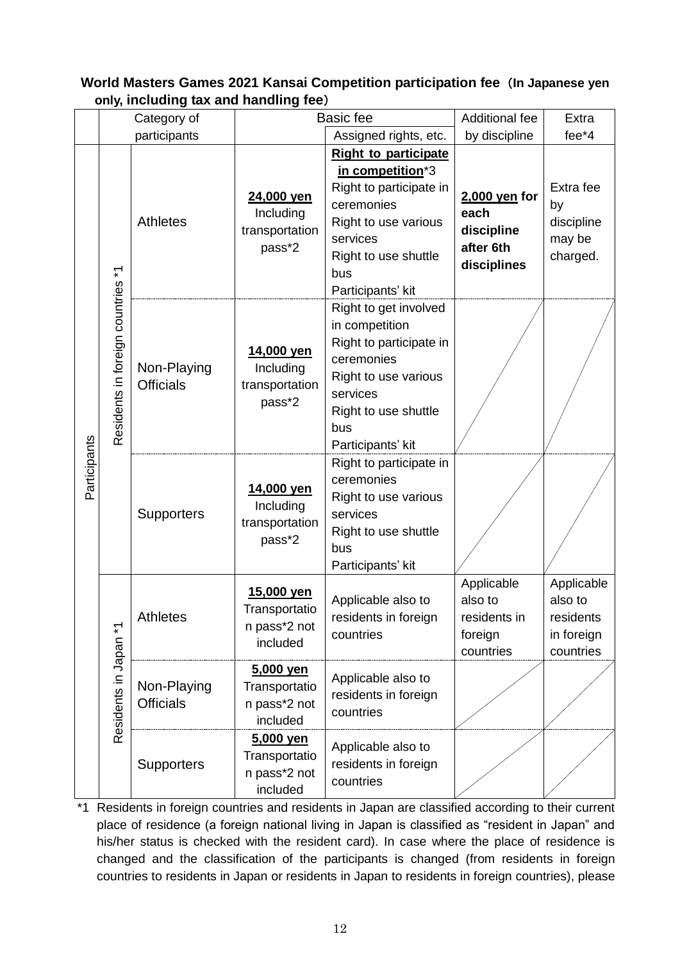|                       |                                   | only, including tax and handling lee)<br>Category of    |                                                               | <b>Basic fee</b>                                                                                                                                                         | Additional fee                                                  | Extra                                               |
|-----------------------|-----------------------------------|---------------------------------------------------------|---------------------------------------------------------------|--------------------------------------------------------------------------------------------------------------------------------------------------------------------------|-----------------------------------------------------------------|-----------------------------------------------------|
|                       |                                   | participants                                            |                                                               | Assigned rights, etc.                                                                                                                                                    | by discipline                                                   | fee*4                                               |
|                       |                                   |                                                         |                                                               | <b>Right to participate</b>                                                                                                                                              |                                                                 |                                                     |
|                       |                                   | <b>Athletes</b>                                         | 24,000 yen<br>Including<br>transportation<br>pass*2           | in competition*3<br>Right to participate in<br>ceremonies<br>Right to use various<br>services<br>Right to use shuttle<br>bus<br>Participants' kit                        | 2,000 yen for<br>each<br>discipline<br>after 6th<br>disciplines | Extra fee<br>by<br>discipline<br>may be<br>charged. |
|                       | Residents in foreign countries *1 | Non-Playing<br><b>Officials</b>                         | 14,000 yen<br>Including<br>transportation<br>pass*2           | Right to get involved<br>in competition<br>Right to participate in<br>ceremonies<br>Right to use various<br>services<br>Right to use shuttle<br>bus<br>Participants' kit |                                                                 |                                                     |
| Participants          |                                   | <b>Supporters</b>                                       | 14,000 yen<br>Including<br>transportation<br>pass*2           | Right to participate in<br>ceremonies<br>Right to use various<br>services<br>Right to use shuttle<br>bus<br>Participants' kit                                            |                                                                 |                                                     |
| Residents in Japan *1 | <b>Athletes</b>                   | 15,000 yen<br>Transportatio<br>n pass*2 not<br>included | Applicable also to<br>residents in foreign<br>countries       | Applicable<br>also to<br>residents in<br>foreign<br>countries                                                                                                            | Applicable<br>also to<br>residents<br>in foreign<br>countries   |                                                     |
|                       |                                   | Non-Playing<br><b>Officials</b>                         | <u>5,000 yen</u><br>Transportatio<br>n pass*2 not<br>included | Applicable also to<br>residents in foreign<br>countries                                                                                                                  |                                                                 |                                                     |
|                       |                                   | <b>Supporters</b>                                       | <u>5,000 yen</u><br>Transportatio<br>n pass*2 not<br>included | Applicable also to<br>residents in foreign<br>countries                                                                                                                  |                                                                 |                                                     |

**World Masters Games 2021 Kansai Competition participation fee**(**In Japanese yen only, including tax and handling fee**)

\*1 Residents in foreign countries and residents in Japan are classified according to their current place of residence (a foreign national living in Japan is classified as "resident in Japan" and his/her status is checked with the resident card). In case where the place of residence is changed and the classification of the participants is changed (from residents in foreign countries to residents in Japan or residents in Japan to residents in foreign countries), please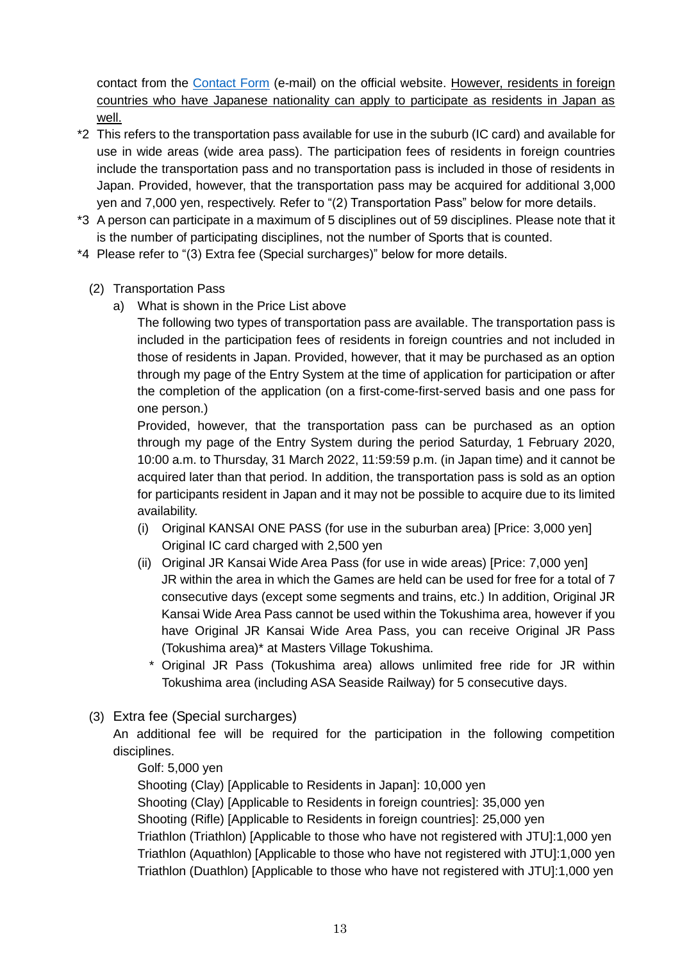contact from the [Contact Form](https://www.wmg2021.jp/en/contact) (e-mail) on the official website. However, residents in foreign countries who have Japanese nationality can apply to participate as residents in Japan as well.

- \*2 This refers to the transportation pass available for use in the suburb (IC card) and available for use in wide areas (wide area pass). The participation fees of residents in foreign countries include the transportation pass and no transportation pass is included in those of residents in Japan. Provided, however, that the transportation pass may be acquired for additional 3,000 yen and 7,000 yen, respectively. Refer to "(2) Transportation Pass" below for more details.
- \*3 A person can participate in a maximum of 5 disciplines out of 59 disciplines. Please note that it is the number of participating disciplines, not the number of Sports that is counted.
- \*4 Please refer to "(3) Extra fee (Special surcharges)" below for more details.
	- (2) Transportation Pass
		- a) What is shown in the Price List above

The following two types of transportation pass are available. The transportation pass is included in the participation fees of residents in foreign countries and not included in those of residents in Japan. Provided, however, that it may be purchased as an option through my page of the Entry System at the time of application for participation or after the completion of the application (on a first-come-first-served basis and one pass for one person.)

Provided, however, that the transportation pass can be purchased as an option through my page of the Entry System during the period Saturday, 1 February 2020, 10:00 a.m. to Thursday, 31 March 2022, 11:59:59 p.m. (in Japan time) and it cannot be acquired later than that period. In addition, the transportation pass is sold as an option for participants resident in Japan and it may not be possible to acquire due to its limited availability.

- (i) Original KANSAI ONE PASS (for use in the suburban area) [Price: 3,000 yen] Original IC card charged with 2,500 yen
- (ii) Original JR Kansai Wide Area Pass (for use in wide areas) [Price: 7,000 yen] JR within the area in which the Games are held can be used for free for a total of 7 consecutive days (except some segments and trains, etc.) In addition, Original JR Kansai Wide Area Pass cannot be used within the Tokushima area, however if you have Original JR Kansai Wide Area Pass, you can receive Original JR Pass (Tokushima area)\* at Masters Village Tokushima.
	- Original JR Pass (Tokushima area) allows unlimited free ride for JR within Tokushima area (including ASA Seaside Railway) for 5 consecutive days.
- (3) Extra fee (Special surcharges)

An additional fee will be required for the participation in the following competition disciplines.

# Golf: 5,000 yen

Shooting (Clay) [Applicable to Residents in Japan]: 10,000 yen Shooting (Clay) [Applicable to Residents in foreign countries]: 35,000 yen Shooting (Rifle) [Applicable to Residents in foreign countries]: 25,000 yen Triathlon (Triathlon) [Applicable to those who have not registered with JTU]:1,000 yen Triathlon (Aquathlon) [Applicable to those who have not registered with JTU]:1,000 yen Triathlon (Duathlon) [Applicable to those who have not registered with JTU]:1,000 yen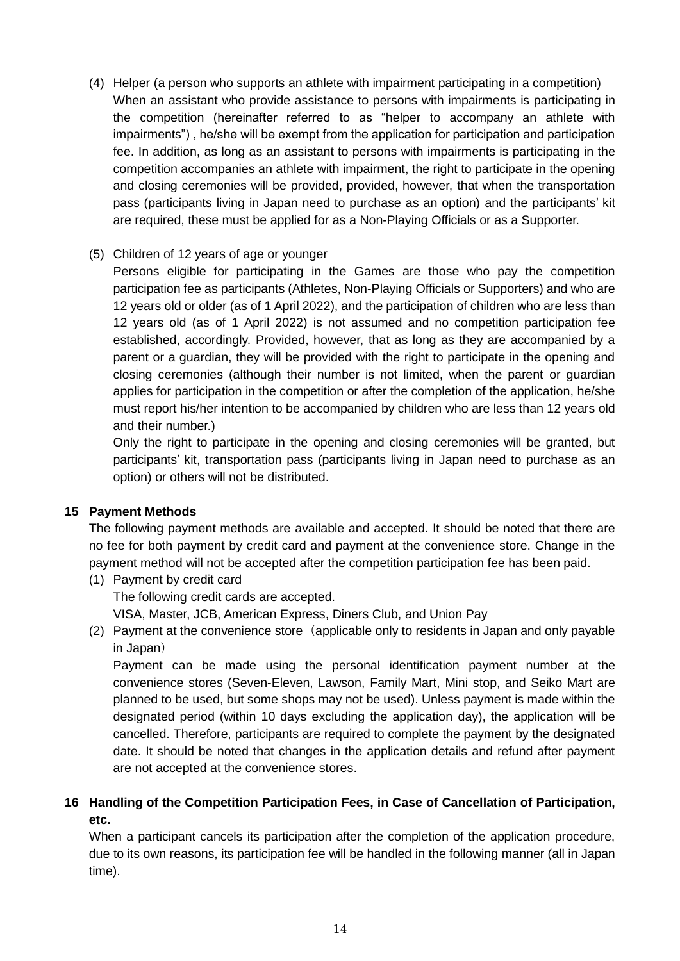(4) Helper (a person who supports an athlete with impairment participating in a competition) When an assistant who provide assistance to persons with impairments is participating in the competition (hereinafter referred to as "helper to accompany an athlete with impairments") , he/she will be exempt from the application for participation and participation fee. In addition, as long as an assistant to persons with impairments is participating in the competition accompanies an athlete with impairment, the right to participate in the opening and closing ceremonies will be provided, provided, however, that when the transportation pass (participants living in Japan need to purchase as an option) and the participants' kit are required, these must be applied for as a Non-Playing Officials or as a Supporter.

# (5) Children of 12 years of age or younger

Persons eligible for participating in the Games are those who pay the competition participation fee as participants (Athletes, Non-Playing Officials or Supporters) and who are 12 years old or older (as of 1 April 2022), and the participation of children who are less than 12 years old (as of 1 April 2022) is not assumed and no competition participation fee established, accordingly. Provided, however, that as long as they are accompanied by a parent or a guardian, they will be provided with the right to participate in the opening and closing ceremonies (although their number is not limited, when the parent or guardian applies for participation in the competition or after the completion of the application, he/she must report his/her intention to be accompanied by children who are less than 12 years old and their number.)

Only the right to participate in the opening and closing ceremonies will be granted, but participants' kit, transportation pass (participants living in Japan need to purchase as an option) or others will not be distributed.

#### **15 Payment Methods**

The following payment methods are available and accepted. It should be noted that there are no fee for both payment by credit card and payment at the convenience store. Change in the payment method will not be accepted after the competition participation fee has been paid.

- (1) Payment by credit card The following credit cards are accepted. VISA, Master, JCB, American Express, Diners Club, and Union Pay
- (2) Payment at the convenience store (applicable only to residents in Japan and only payable in Japan)

Payment can be made using the personal identification payment number at the convenience stores (Seven-Eleven, Lawson, Family Mart, Mini stop, and Seiko Mart are planned to be used, but some shops may not be used). Unless payment is made within the designated period (within 10 days excluding the application day), the application will be cancelled. Therefore, participants are required to complete the payment by the designated date. It should be noted that changes in the application details and refund after payment are not accepted at the convenience stores.

# **16 Handling of the Competition Participation Fees, in Case of Cancellation of Participation, etc.**

When a participant cancels its participation after the completion of the application procedure, due to its own reasons, its participation fee will be handled in the following manner (all in Japan time).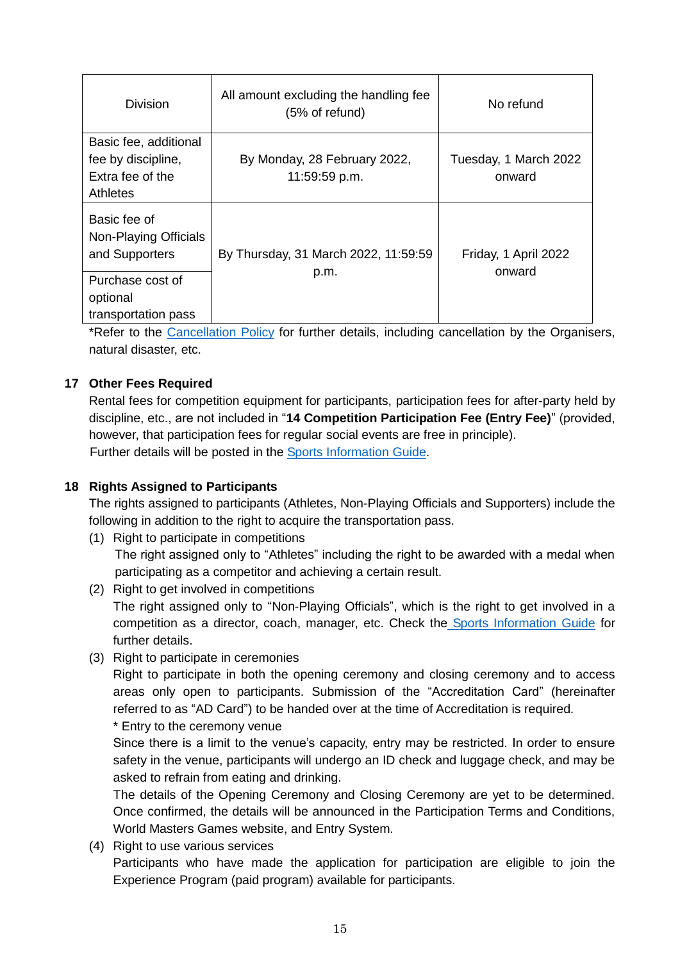| <b>Division</b>                                                                    | All amount excluding the handling fee<br>$(5% \text{ of refund})$ | No refund                       |
|------------------------------------------------------------------------------------|-------------------------------------------------------------------|---------------------------------|
| Basic fee, additional<br>fee by discipline,<br>Extra fee of the<br><b>Athletes</b> | By Monday, 28 February 2022,<br>11:59:59 p.m.                     | Tuesday, 1 March 2022<br>onward |
| Basic fee of<br>Non-Playing Officials<br>and Supporters                            | By Thursday, 31 March 2022, 11:59:59                              | Friday, 1 April 2022            |
| Purchase cost of<br>optional<br>transportation pass                                | p.m.                                                              | onward                          |

\*Refer to the [Cancellation Policy](https://www.wmg2021.jp/en/games/pdf/cancellation-policy.pdf) for further details, including cancellation by the Organisers, natural disaster, etc.

# **17 Other Fees Required**

Rental fees for competition equipment for participants, participation fees for after-party held by discipline, etc., are not included in "**14 Competition Participation Fee (Entry Fee)**" (provided, however, that participation fees for regular social events are free in principle). Further details will be posted in the [Sports Information Guide.](https://www.wmg2021.jp/en/games/list)

# **18 Rights Assigned to Participants**

The rights assigned to participants (Athletes, Non-Playing Officials and Supporters) include the following in addition to the right to acquire the transportation pass.

- (1) Right to participate in competitions The right assigned only to "Athletes" including the right to be awarded with a medal when participating as a competitor and achieving a certain result.
- (2) Right to get involved in competitions The right assigned only to "Non-Playing Officials", which is the right to get involved in a competition as a director, coach, manager, etc. Check the [Sports Information Guide](https://www.wmg2021.jp/en/games/list) for further details.
- (3) Right to participate in ceremonies

Right to participate in both the opening ceremony and closing ceremony and to access areas only open to participants. Submission of the "Accreditation Card" (hereinafter referred to as "AD Card") to be handed over at the time of Accreditation is required.

\* Entry to the ceremony venue

Since there is a limit to the venue's capacity, entry may be restricted. In order to ensure safety in the venue, participants will undergo an ID check and luggage check, and may be asked to refrain from eating and drinking.

The details of the Opening Ceremony and Closing Ceremony are yet to be determined. Once confirmed, the details will be announced in the Participation Terms and Conditions, World Masters Games website, and Entry System.

(4) Right to use various services

Participants who have made the application for participation are eligible to join the Experience Program (paid program) available for participants.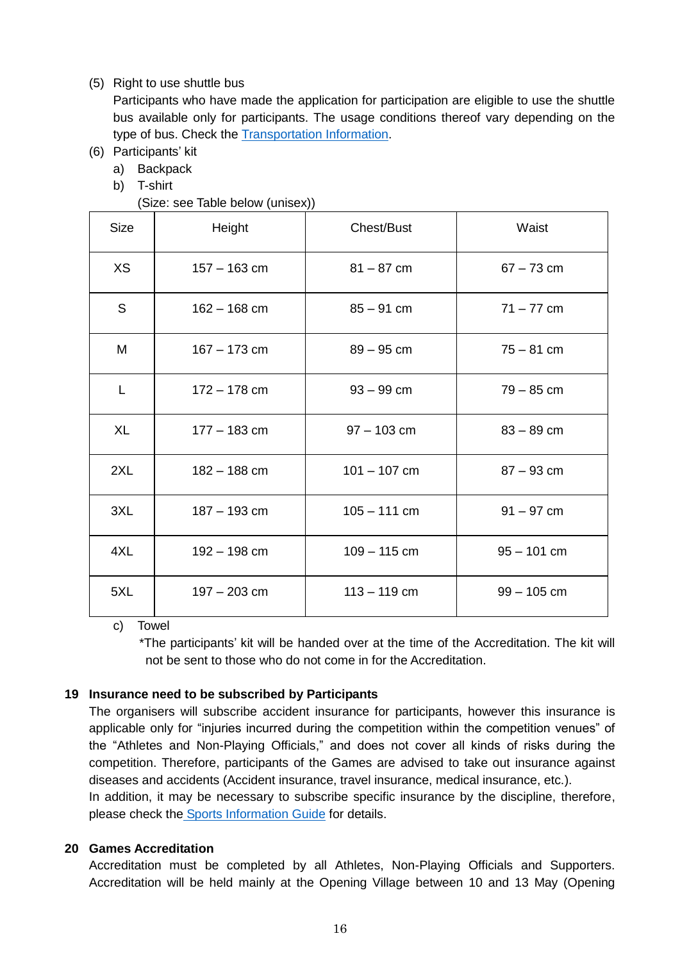#### (5) Right to use shuttle bus

Participants who have made the application for participation are eligible to use the shuttle bus available only for participants. The usage conditions thereof vary depending on the type of bus. Check the [Transportation Information.](https://www.wmg2021.jp/en/games/trafficguide.html)

- (6) Participants' kit
	- a) Backpack
	- b) T-shirt

(Size: see Table below (unisex))

| <b>Size</b> | Height         | Chest/Bust     | Waist         |
|-------------|----------------|----------------|---------------|
| <b>XS</b>   | $157 - 163$ cm | $81 - 87$ cm   | $67 - 73$ cm  |
| S           | $162 - 168$ cm | $85 - 91$ cm   | $71 - 77$ cm  |
| M           | $167 - 173$ cm | $89 - 95$ cm   | $75 - 81$ cm  |
| L           | $172 - 178$ cm | $93 - 99$ cm   | $79 - 85$ cm  |
| <b>XL</b>   | $177 - 183$ cm | $97 - 103$ cm  | $83 - 89$ cm  |
| 2XL         | $182 - 188$ cm | $101 - 107$ cm | $87 - 93$ cm  |
| 3XL         | $187 - 193$ cm | $105 - 111$ cm | $91 - 97$ cm  |
| 4XL         | $192 - 198$ cm | $109 - 115$ cm | $95 - 101$ cm |
| 5XL         | $197 - 203$ cm | $113 - 119$ cm | $99 - 105$ cm |

c) Towel

\*The participants' kit will be handed over at the time of the Accreditation. The kit will not be sent to those who do not come in for the Accreditation.

#### **19 Insurance need to be subscribed by Participants**

The organisers will subscribe accident insurance for participants, however this insurance is applicable only for "injuries incurred during the competition within the competition venues" of the "Athletes and Non-Playing Officials," and does not cover all kinds of risks during the competition. Therefore, participants of the Games are advised to take out insurance against diseases and accidents (Accident insurance, travel insurance, medical insurance, etc.).

In addition, it may be necessary to subscribe specific insurance by the discipline, therefore, please check the [Sports Information Guide](https://www.wmg2021.jp/en/games/list) for details.

#### **20 Games Accreditation**

Accreditation must be completed by all Athletes, Non-Playing Officials and Supporters. Accreditation will be held mainly at the Opening Village between 10 and 13 May (Opening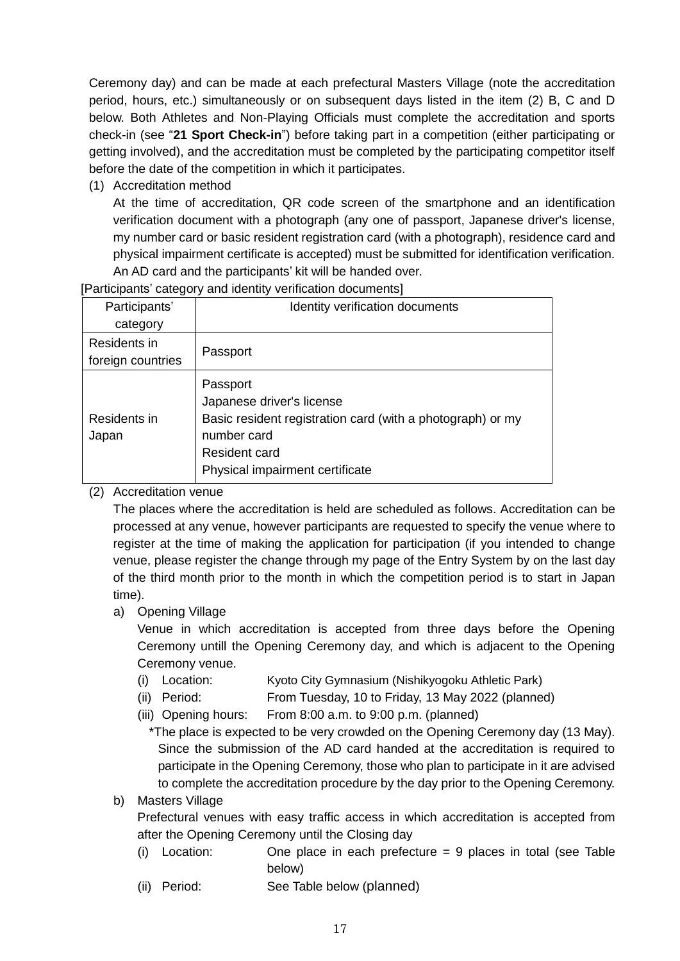Ceremony day) and can be made at each prefectural Masters Village (note the accreditation period, hours, etc.) simultaneously or on subsequent days listed in the item (2) B, C and D below. Both Athletes and Non-Playing Officials must complete the accreditation and sports check-in (see "**21 Sport Check-in**") before taking part in a competition (either participating or getting involved), and the accreditation must be completed by the participating competitor itself before the date of the competition in which it participates.

(1) Accreditation method

At the time of accreditation, QR code screen of the smartphone and an identification verification document with a photograph (any one of passport, Japanese driver's license, my number card or basic resident registration card (with a photograph), residence card and physical impairment certificate is accepted) must be submitted for identification verification. An AD card and the participants' kit will be handed over.

[Participants' category and identity verification documents]

| Participants'         | Identity verification documents                                                                                                     |
|-----------------------|-------------------------------------------------------------------------------------------------------------------------------------|
| category              |                                                                                                                                     |
| Residents in          |                                                                                                                                     |
| foreign countries     | Passport                                                                                                                            |
| Residents in<br>Japan | Passport<br>Japanese driver's license<br>Basic resident registration card (with a photograph) or my<br>number card<br>Resident card |
|                       | Physical impairment certificate                                                                                                     |

# (2) Accreditation venue

The places where the accreditation is held are scheduled as follows. Accreditation can be processed at any venue, however participants are requested to specify the venue where to register at the time of making the application for participation (if you intended to change venue, please register the change through my page of the Entry System by on the last day of the third month prior to the month in which the competition period is to start in Japan time).

a) Opening Village

Venue in which accreditation is accepted from three days before the Opening Ceremony untill the Opening Ceremony day, and which is adjacent to the Opening Ceremony venue.

- (i) Location: Kyoto City Gymnasium (Nishikyogoku Athletic Park)
- (ii) Period: From Tuesday, 10 to Friday, 13 May 2022 (planned)
- (iii) Opening hours: From 8:00 a.m. to 9:00 p.m. (planned)

\*The place is expected to be very crowded on the Opening Ceremony day (13 May). Since the submission of the AD card handed at the accreditation is required to participate in the Opening Ceremony, those who plan to participate in it are advised to complete the accreditation procedure by the day prior to the Opening Ceremony.

# b) Masters Village

Prefectural venues with easy traffic access in which accreditation is accepted from after the Opening Ceremony until the Closing day

- (i) Location: One place in each prefecture = 9 places in total (see Table below)
- (ii) Period: See Table below (planned)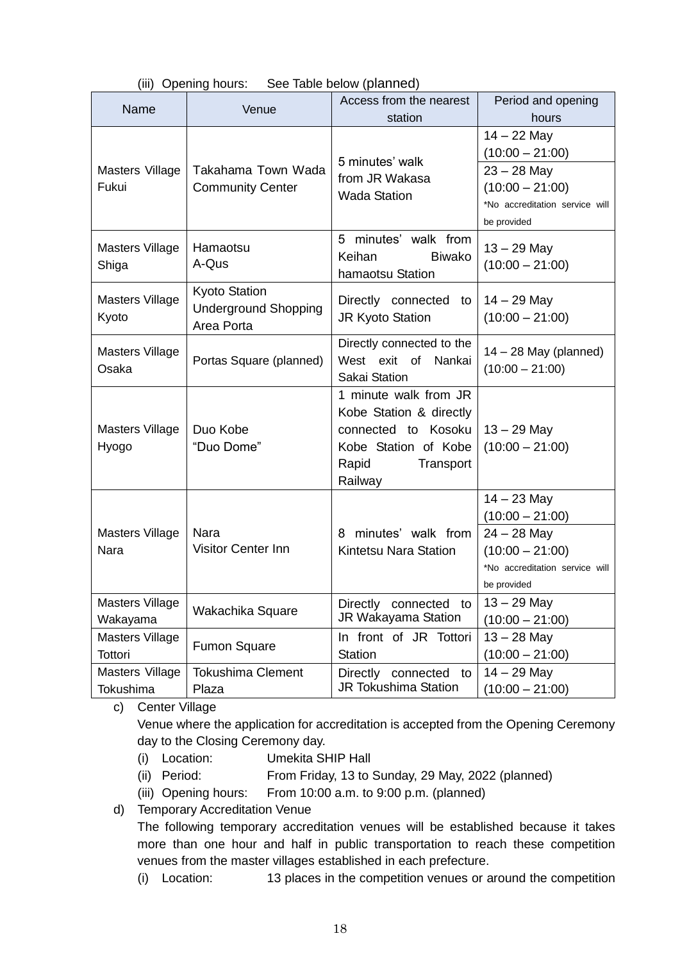|  |  | (iii) Opening hours: | See Table below (planned) |
|--|--|----------------------|---------------------------|
|--|--|----------------------|---------------------------|

| Name                               | Venue                                                             | Access from the nearest<br>station                                                                                               | Period and opening<br>hours                                                         |
|------------------------------------|-------------------------------------------------------------------|----------------------------------------------------------------------------------------------------------------------------------|-------------------------------------------------------------------------------------|
|                                    |                                                                   | 5 minutes' walk                                                                                                                  | $14 - 22$ May<br>$(10:00 - 21:00)$                                                  |
| Masters Village<br>Fukui           | Takahama Town Wada<br><b>Community Center</b>                     | from JR Wakasa<br><b>Wada Station</b>                                                                                            | $23 - 28$ May<br>$(10:00 - 21:00)$<br>*No accreditation service will<br>be provided |
| Masters Village<br>Shiga           | Hamaotsu<br>A-Qus                                                 | 5 minutes' walk from<br>Keihan<br><b>Biwako</b><br>hamaotsu Station                                                              | $13 - 29$ May<br>$(10:00 - 21:00)$                                                  |
| <b>Masters Village</b><br>Kyoto    | <b>Kyoto Station</b><br><b>Underground Shopping</b><br>Area Porta | Directly connected to<br>JR Kyoto Station                                                                                        | $14 - 29$ May<br>$(10:00 - 21:00)$                                                  |
| Masters Village<br>Osaka           | Portas Square (planned)                                           | Directly connected to the<br>West exit of<br>Nankai<br>Sakai Station                                                             | $14 - 28$ May (planned)<br>$(10:00 - 21:00)$                                        |
| <b>Masters Village</b><br>Hyogo    | Duo Kobe<br>"Duo Dome"                                            | 1 minute walk from JR<br>Kobe Station & directly<br>connected to Kosoku<br>Kobe Station of Kobe<br>Rapid<br>Transport<br>Railway | $13 - 29$ May<br>$(10:00 - 21:00)$                                                  |
|                                    |                                                                   |                                                                                                                                  | $14 - 23$ May<br>$(10:00 - 21:00)$                                                  |
| <b>Masters Village</b><br>Nara     | Nara<br><b>Visitor Center Inn</b>                                 | minutes' walk from<br>8<br>Kintetsu Nara Station                                                                                 | $24 - 28$ May<br>$(10:00 - 21:00)$<br>*No accreditation service will<br>be provided |
| <b>Masters Village</b><br>Wakayama | Wakachika Square                                                  | Directly connected to<br><b>JR Wakayama Station</b>                                                                              | $13 - 29$ May<br>$(10:00 - 21:00)$                                                  |
| <b>Masters Village</b><br>Tottori  | <b>Fumon Square</b>                                               | In front of JR Tottori<br><b>Station</b>                                                                                         | $13 - 28$ May<br>$(10:00 - 21:00)$                                                  |
| Masters Village<br>Tokushima       | <b>Tokushima Clement</b><br>Plaza                                 | Directly<br>connected<br>to<br><b>JR Tokushima Station</b>                                                                       | $14 - 29$ May<br>$(10:00 - 21:00)$                                                  |

c) Center Village

Venue where the application for accreditation is accepted from the Opening Ceremony day to the Closing Ceremony day.

- (i) Location: Umekita SHIP Hall
- (ii) Period: From Friday, 13 to Sunday, 29 May, 2022 (planned)
- (iii) Opening hours: From 10:00 a.m. to 9:00 p.m. (planned)

d) Temporary Accreditation Venue

The following temporary accreditation venues will be established because it takes more than one hour and half in public transportation to reach these competition venues from the master villages established in each prefecture.

(i) Location: 13 places in the competition venues or around the competition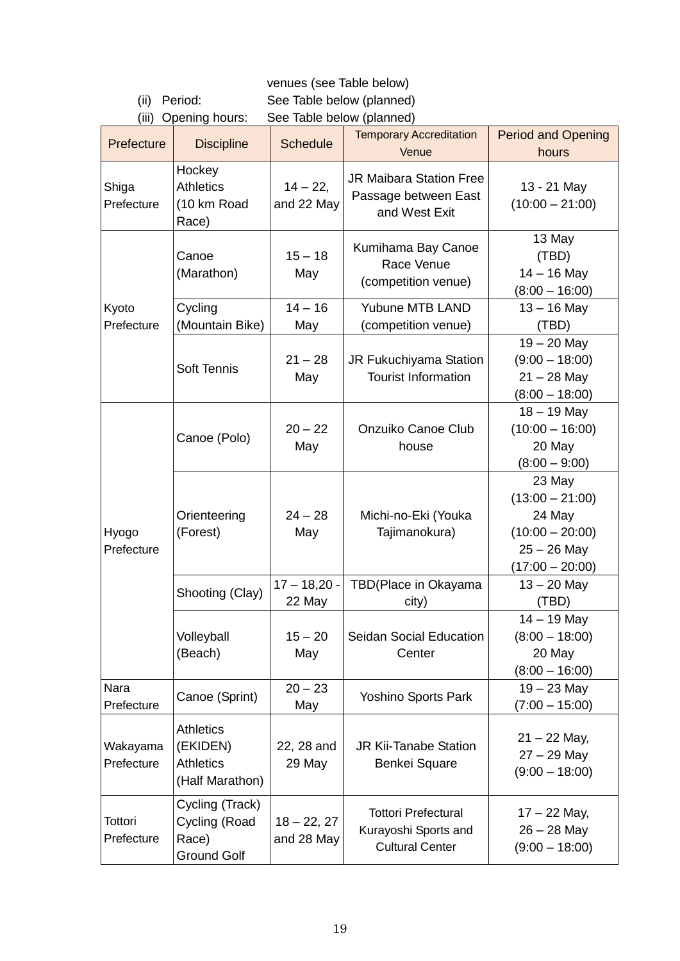venues (see Table below)

(ii) Period: See Table below (planned) (iii) Opening hours: See Table below (planned)

|                        | (iii) Oporinig nours.                                               | <b>OUG TADIG DUIDW (PIAHITION)</b> |                                                                              |                                                                                                  |
|------------------------|---------------------------------------------------------------------|------------------------------------|------------------------------------------------------------------------------|--------------------------------------------------------------------------------------------------|
| Prefecture             | <b>Discipline</b>                                                   | <b>Schedule</b>                    | <b>Temporary Accreditation</b><br>Venue                                      | <b>Period and Opening</b><br>hours                                                               |
| Shiga<br>Prefecture    | Hockey<br><b>Athletics</b><br>(10 km Road<br>Race)                  | $14 - 22,$<br>and 22 May           | <b>JR Maibara Station Free</b><br>Passage between East<br>and West Exit      | 13 - 21 May<br>$(10:00 - 21:00)$                                                                 |
|                        | Canoe<br>(Marathon)                                                 | $15 - 18$<br>May                   | Kumihama Bay Canoe<br>Race Venue<br>(competition venue)                      | 13 May<br>(TBD)<br>$14 - 16$ May<br>$(8:00 - 16:00)$                                             |
| Kyoto                  | Cycling                                                             | $14 - 16$                          | <b>Yubune MTB LAND</b>                                                       | $13 - 16$ May                                                                                    |
| Prefecture             | (Mountain Bike)                                                     | May                                | (competition venue)                                                          | (TBD)                                                                                            |
|                        | Soft Tennis                                                         | $21 - 28$<br>May                   | JR Fukuchiyama Station<br><b>Tourist Information</b>                         | $19 - 20$ May<br>$(9:00 - 18:00)$<br>$21 - 28$ May<br>$(8:00 - 18:00)$                           |
|                        | Canoe (Polo)                                                        | $20 - 22$<br>May                   | Onzuiko Canoe Club<br>house                                                  | $18 - 19$ May<br>$(10:00 - 16:00)$<br>20 May<br>$(8:00 - 9:00)$                                  |
| Hyogo<br>Prefecture    | Orienteering<br>(Forest)                                            | $24 - 28$<br>May                   | Michi-no-Eki (Youka<br>Tajimanokura)                                         | 23 May<br>$(13:00 - 21:00)$<br>24 May<br>$(10:00 - 20:00)$<br>$25 - 26$ May<br>$(17:00 - 20:00)$ |
|                        | Shooting (Clay)                                                     | $17 - 18,20 -$<br>22 May           | TBD(Place in Okayama<br>city)                                                | $13 - 20$ May<br>(TBD)                                                                           |
|                        | Volleyball<br>(Beach)                                               | $15 - 20$<br>May                   | <b>Seidan Social Education</b><br>Center                                     | $14 - 19$ May<br>$(8:00 - 18:00)$<br>20 May<br>$(8:00 - 16:00)$                                  |
| Nara<br>Prefecture     | Canoe (Sprint)                                                      | $20 - 23$<br>May                   | Yoshino Sports Park                                                          | $19 - 23$ May<br>$(7:00 - 15:00)$                                                                |
| Wakayama<br>Prefecture | <b>Athletics</b><br>(EKIDEN)<br><b>Athletics</b><br>(Half Marathon) | 22, 28 and<br>29 May               | <b>JR Kii-Tanabe Station</b><br>Benkei Square                                | $21 - 22$ May,<br>$27 - 29$ May<br>$(9:00 - 18:00)$                                              |
| Tottori<br>Prefecture  | Cycling (Track)<br>Cycling (Road<br>Race)<br><b>Ground Golf</b>     | $18 - 22, 27$<br>and 28 May        | <b>Tottori Prefectural</b><br>Kurayoshi Sports and<br><b>Cultural Center</b> | $17 - 22$ May,<br>$26 - 28$ May<br>$(9:00 - 18:00)$                                              |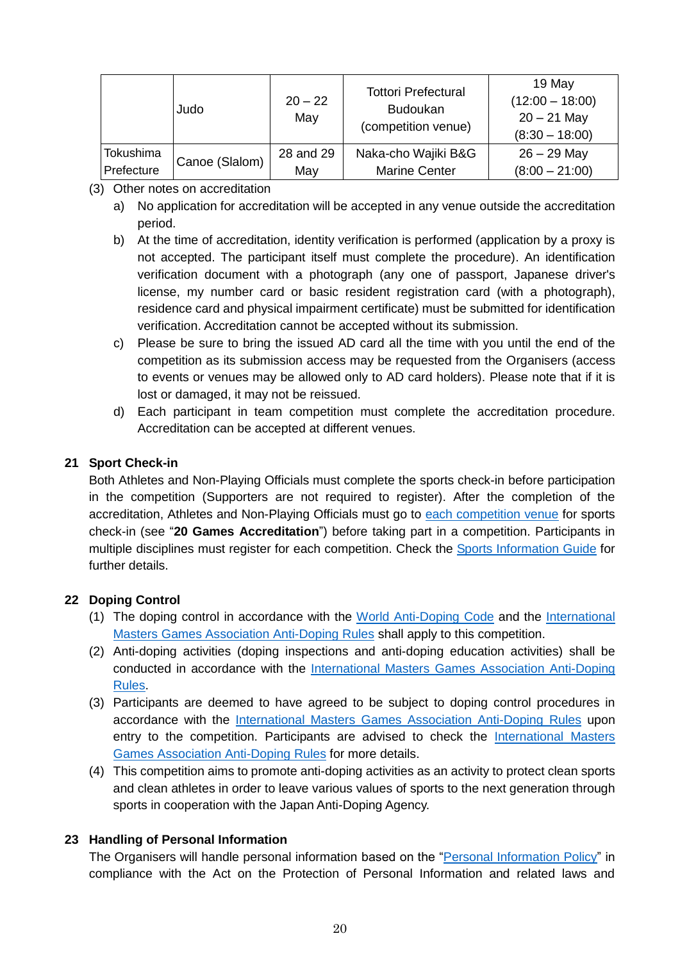|                                                             |           | Judo | $20 - 22$<br>May | <b>Tottori Prefectural</b><br><b>Budoukan</b><br>(competition venue) | 19 May<br>$(12:00 - 18:00)$<br>$20 - 21$ May<br>$(8:30 - 18:00)$ |
|-------------------------------------------------------------|-----------|------|------------------|----------------------------------------------------------------------|------------------------------------------------------------------|
| Canoe (Slalom)<br>Prefecture<br><b>Marine Center</b><br>May | Tokushima |      | 28 and 29        | Naka-cho Wajiki B&G                                                  | $26 - 29$ May<br>$(8:00 - 21:00)$                                |

- (3) Other notes on accreditation
	- a) No application for accreditation will be accepted in any venue outside the accreditation period.
	- b) At the time of accreditation, identity verification is performed (application by a proxy is not accepted. The participant itself must complete the procedure). An identification verification document with a photograph (any one of passport, Japanese driver's license, my number card or basic resident registration card (with a photograph), residence card and physical impairment certificate) must be submitted for identification verification. Accreditation cannot be accepted without its submission.
	- c) Please be sure to bring the issued AD card all the time with you until the end of the competition as its submission access may be requested from the Organisers (access to events or venues may be allowed only to AD card holders). Please note that if it is lost or damaged, it may not be reissued.
	- d) Each participant in team competition must complete the accreditation procedure. Accreditation can be accepted at different venues.

# **21 Sport Check-in**

Both Athletes and Non-Playing Officials must complete the sports check-in before participation in the competition (Supporters are not required to register). After the completion of the accreditation, Athletes and Non-Playing Officials must go to [each competition venue](https://www.wmg2021.jp/en/games/venues.html) for sports check-in (see "**20 Games Accreditation**") before taking part in a competition. Participants in multiple disciplines must register for each competition. Check the [Sports Information Guide](https://www.wmg2021.jp/en/games/list) for further details.

# **22 Doping Control**

- (1) The doping control in accordance with the [World Anti-Doping Code](https://www.playtruejapan.org/entry_img/wada_code_2021_jp_20201218.pdf) and the [International](https://d3tfdru9q5sbcz.cloudfront.net/2021/06/2021-IMGA-ADR.pdf)  Masters [Games Association Anti-Doping Rules](https://d3tfdru9q5sbcz.cloudfront.net/2021/06/2021-IMGA-ADR.pdf) shall apply to this competition.
- (2) Anti-doping activities (doping inspections and anti-doping education activities) shall be conducted in accordance with the International Masters [Games Association Anti-Doping](https://d3tfdru9q5sbcz.cloudfront.net/2021/06/2021-IMGA-ADR.pdf)  [Rules.](https://d3tfdru9q5sbcz.cloudfront.net/2021/06/2021-IMGA-ADR.pdf)
- (3) Participants are deemed to have agreed to be subject to doping control procedures in accordance with the International Masters [Games Association Anti-Doping Rules](https://d3tfdru9q5sbcz.cloudfront.net/2021/06/2021-IMGA-ADR.pdf) upon entry to the competition. Participants are advised to check the [International Masters](https://d3tfdru9q5sbcz.cloudfront.net/2021/06/2021-IMGA-ADR.pdf) [Games Association Anti-Doping Rules](https://d3tfdru9q5sbcz.cloudfront.net/2021/06/2021-IMGA-ADR.pdf) for more details.
- (4) This competition aims to promote anti-doping activities as an activity to protect clean sports and clean athletes in order to leave various values of sports to the next generation through sports in cooperation with the Japan Anti-Doping Agency.

# **23 Handling of Personal Information**

The Organisers will handle personal information based on the "[Personal Information Policy](https://wmg2021.jp/en/common/pdf/personal_information.pdf)" in compliance with the Act on the Protection of Personal Information and related laws and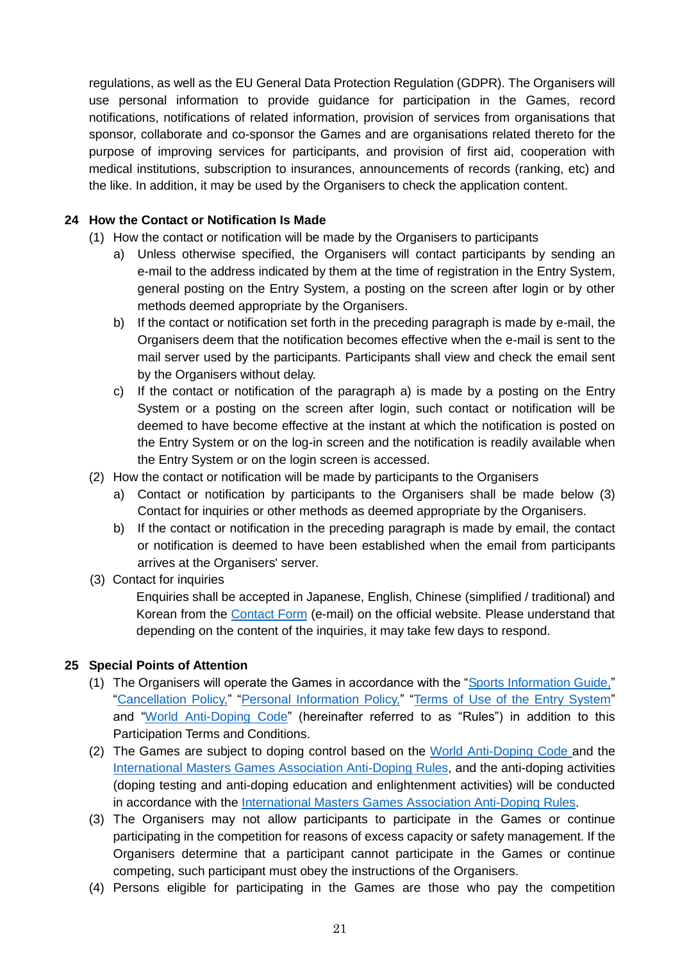regulations, as well as the EU General Data Protection Regulation (GDPR). The Organisers will use personal information to provide guidance for participation in the Games, record notifications, notifications of related information, provision of services from organisations that sponsor, collaborate and co-sponsor the Games and are organisations related thereto for the purpose of improving services for participants, and provision of first aid, cooperation with medical institutions, subscription to insurances, announcements of records (ranking, etc) and the like. In addition, it may be used by the Organisers to check the application content.

# **24 How the Contact or Notification Is Made**

- (1) How the contact or notification will be made by the Organisers to participants
	- a) Unless otherwise specified, the Organisers will contact participants by sending an e-mail to the address indicated by them at the time of registration in the Entry System, general posting on the Entry System, a posting on the screen after login or by other methods deemed appropriate by the Organisers.
	- b) If the contact or notification set forth in the preceding paragraph is made by e-mail, the Organisers deem that the notification becomes effective when the e-mail is sent to the mail server used by the participants. Participants shall view and check the email sent by the Organisers without delay.
	- c) If the contact or notification of the paragraph a) is made by a posting on the Entry System or a posting on the screen after login, such contact or notification will be deemed to have become effective at the instant at which the notification is posted on the Entry System or on the log-in screen and the notification is readily available when the Entry System or on the login screen is accessed.
- (2) How the contact or notification will be made by participants to the Organisers
	- a) Contact or notification by participants to the Organisers shall be made below (3) Contact for inquiries or other methods as deemed appropriate by the Organisers.
	- b) If the contact or notification in the preceding paragraph is made by email, the contact or notification is deemed to have been established when the email from participants arrives at the Organisers' server.
- (3) Contact for inquiries

Enquiries shall be accepted in Japanese, English, Chinese (simplified / traditional) and Korean from the [Contact Form](https://www.wmg2021.jp/en/contact) (e-mail) on the official website. Please understand that depending on the content of the inquiries, it may take few days to respond.

#### **25 Special Points of Attention**

- (1) The Organisers will operate the Games in accordance with the "[Sports Information Guide,](https://www.wmg2021.jp/en/games/list)" "[Cancellation Policy,](https://www.wmg2021.jp/en/games/pdf/cancellation-policy.pdf)" "[Personal Information Policy,](https://wmg2021.jp/en/common/pdf/personal_information.pdf)" "[Terms of Use of the Entry System](https://www.wmg2021.jp/en/games/pdf/entry-system.pdf)" and "[World Anti-Doping Code](https://www.playtruejapan.org/entry_img/wada_code_2021_jp_20201218.pdf)" (hereinafter referred to as "Rules") in addition to this Participation Terms and Conditions.
- (2) The Games are subject to doping control based on the [World Anti-Doping Code](https://www.playtruejapan.org/entry_img/wada_code_2021_jp_20201218.pdf) and the International Masters [Games Association Anti-Doping Rules,](https://d3tfdru9q5sbcz.cloudfront.net/2021/06/2021-IMGA-ADR.pdf) and the anti-doping activities (doping testing and anti-doping education and enlightenment activities) will be conducted in accordance with the International Masters [Games Association Anti-Doping Rules.](https://d3tfdru9q5sbcz.cloudfront.net/2021/06/2021-IMGA-ADR.pdf)
- (3) The Organisers may not allow participants to participate in the Games or continue participating in the competition for reasons of excess capacity or safety management. If the Organisers determine that a participant cannot participate in the Games or continue competing, such participant must obey the instructions of the Organisers.
- (4) Persons eligible for participating in the Games are those who pay the competition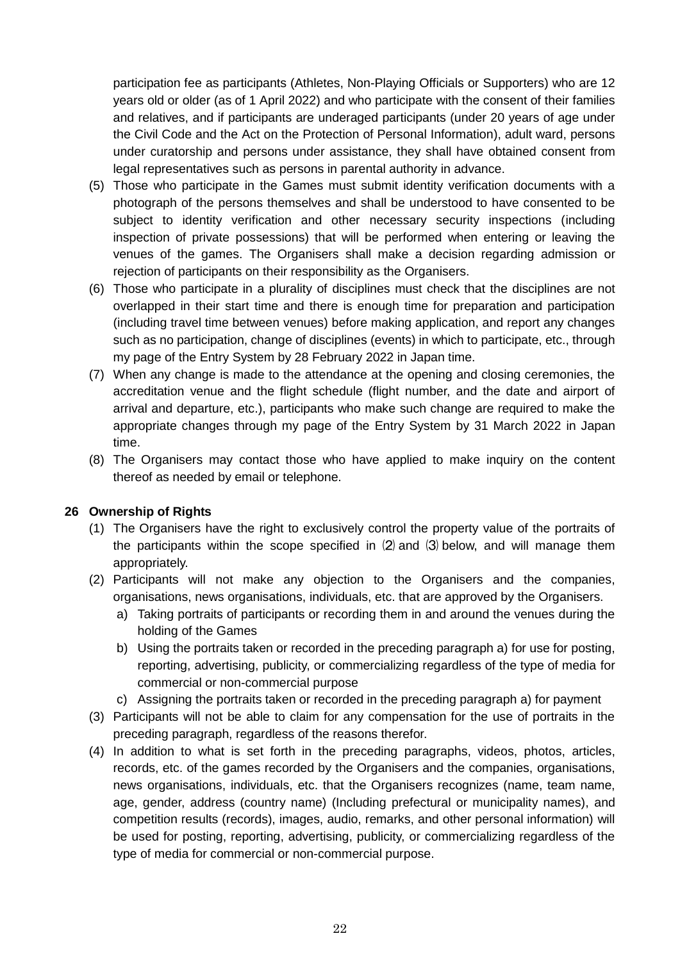participation fee as participants (Athletes, Non-Playing Officials or Supporters) who are 12 years old or older (as of 1 April 2022) and who participate with the consent of their families and relatives, and if participants are underaged participants (under 20 years of age under the Civil Code and the Act on the Protection of Personal Information), adult ward, persons under curatorship and persons under assistance, they shall have obtained consent from legal representatives such as persons in parental authority in advance.

- (5) Those who participate in the Games must submit identity verification documents with a photograph of the persons themselves and shall be understood to have consented to be subject to identity verification and other necessary security inspections (including inspection of private possessions) that will be performed when entering or leaving the venues of the games. The Organisers shall make a decision regarding admission or rejection of participants on their responsibility as the Organisers.
- (6) Those who participate in a plurality of disciplines must check that the disciplines are not overlapped in their start time and there is enough time for preparation and participation (including travel time between venues) before making application, and report any changes such as no participation, change of disciplines (events) in which to participate, etc., through my page of the Entry System by 28 February 2022 in Japan time.
- (7) When any change is made to the attendance at the opening and closing ceremonies, the accreditation venue and the flight schedule (flight number, and the date and airport of arrival and departure, etc.), participants who make such change are required to make the appropriate changes through my page of the Entry System by 31 March 2022 in Japan time.
- (8) The Organisers may contact those who have applied to make inquiry on the content thereof as needed by email or telephone.

#### **26 Ownership of Rights**

- (1) The Organisers have the right to exclusively control the property value of the portraits of the participants within the scope specified in (2) and (3) below, and will manage them appropriately.
- (2) Participants will not make any objection to the Organisers and the companies, organisations, news organisations, individuals, etc. that are approved by the Organisers.
	- a) Taking portraits of participants or recording them in and around the venues during the holding of the Games
	- b) Using the portraits taken or recorded in the preceding paragraph a) for use for posting, reporting, advertising, publicity, or commercializing regardless of the type of media for commercial or non-commercial purpose
	- c) Assigning the portraits taken or recorded in the preceding paragraph a) for payment
- (3) Participants will not be able to claim for any compensation for the use of portraits in the preceding paragraph, regardless of the reasons therefor.
- (4) In addition to what is set forth in the preceding paragraphs, videos, photos, articles, records, etc. of the games recorded by the Organisers and the companies, organisations, news organisations, individuals, etc. that the Organisers recognizes (name, team name, age, gender, address (country name) (Including prefectural or municipality names), and competition results (records), images, audio, remarks, and other personal information) will be used for posting, reporting, advertising, publicity, or commercializing regardless of the type of media for commercial or non-commercial purpose.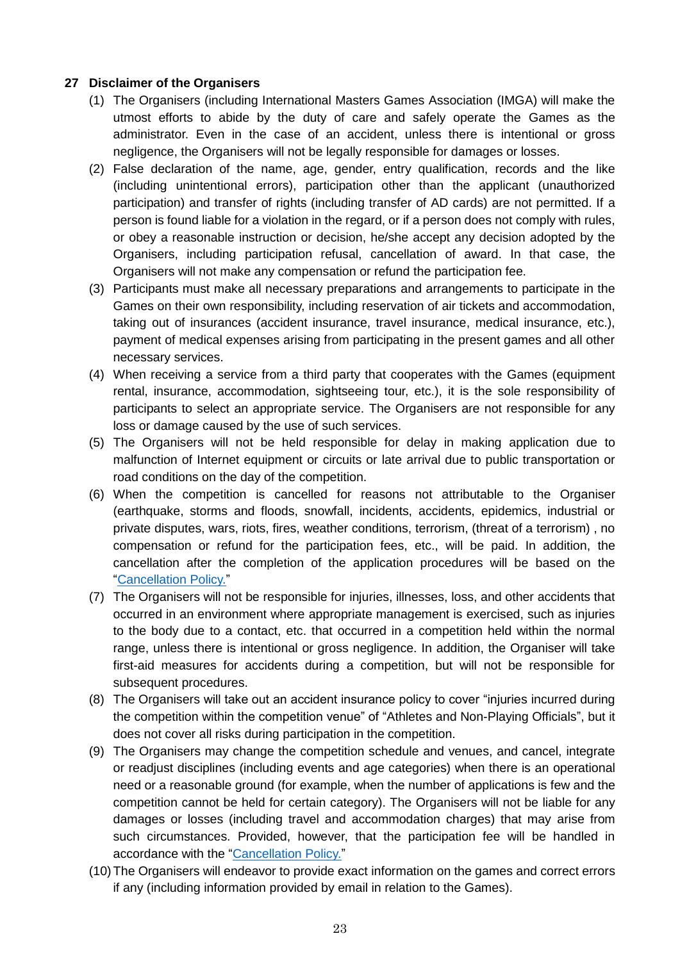### **27 Disclaimer of the Organisers**

- (1) The Organisers (including International Masters Games Association (IMGA) will make the utmost efforts to abide by the duty of care and safely operate the Games as the administrator. Even in the case of an accident, unless there is intentional or gross negligence, the Organisers will not be legally responsible for damages or losses.
- (2) False declaration of the name, age, gender, entry qualification, records and the like (including unintentional errors), participation other than the applicant (unauthorized participation) and transfer of rights (including transfer of AD cards) are not permitted. If a person is found liable for a violation in the regard, or if a person does not comply with rules, or obey a reasonable instruction or decision, he/she accept any decision adopted by the Organisers, including participation refusal, cancellation of award. In that case, the Organisers will not make any compensation or refund the participation fee.
- (3) Participants must make all necessary preparations and arrangements to participate in the Games on their own responsibility, including reservation of air tickets and accommodation, taking out of insurances (accident insurance, travel insurance, medical insurance, etc.), payment of medical expenses arising from participating in the present games and all other necessary services.
- (4) When receiving a service from a third party that cooperates with the Games (equipment rental, insurance, accommodation, sightseeing tour, etc.), it is the sole responsibility of participants to select an appropriate service. The Organisers are not responsible for any loss or damage caused by the use of such services.
- (5) The Organisers will not be held responsible for delay in making application due to malfunction of Internet equipment or circuits or late arrival due to public transportation or road conditions on the day of the competition.
- (6) When the competition is cancelled for reasons not attributable to the Organiser (earthquake, storms and floods, snowfall, incidents, accidents, epidemics, industrial or private disputes, wars, riots, fires, weather conditions, terrorism, (threat of a terrorism) , no compensation or refund for the participation fees, etc., will be paid. In addition, the cancellation after the completion of the application procedures will be based on the "[Cancellation Policy.](https://www.wmg2021.jp/en/games/pdf/cancellation-policy.pdf)"
- (7) The Organisers will not be responsible for injuries, illnesses, loss, and other accidents that occurred in an environment where appropriate management is exercised, such as injuries to the body due to a contact, etc. that occurred in a competition held within the normal range, unless there is intentional or gross negligence. In addition, the Organiser will take first-aid measures for accidents during a competition, but will not be responsible for subsequent procedures.
- (8) The Organisers will take out an accident insurance policy to cover "injuries incurred during the competition within the competition venue" of "Athletes and Non-Playing Officials", but it does not cover all risks during participation in the competition.
- (9) The Organisers may change the competition schedule and venues, and cancel, integrate or readjust disciplines (including events and age categories) when there is an operational need or a reasonable ground (for example, when the number of applications is few and the competition cannot be held for certain category). The Organisers will not be liable for any damages or losses (including travel and accommodation charges) that may arise from such circumstances. Provided, however, that the participation fee will be handled in accordance with the "[Cancellation Policy.](https://www.wmg2021.jp/en/games/pdf/cancellation-policy.pdf)"
- (10)The Organisers will endeavor to provide exact information on the games and correct errors if any (including information provided by email in relation to the Games).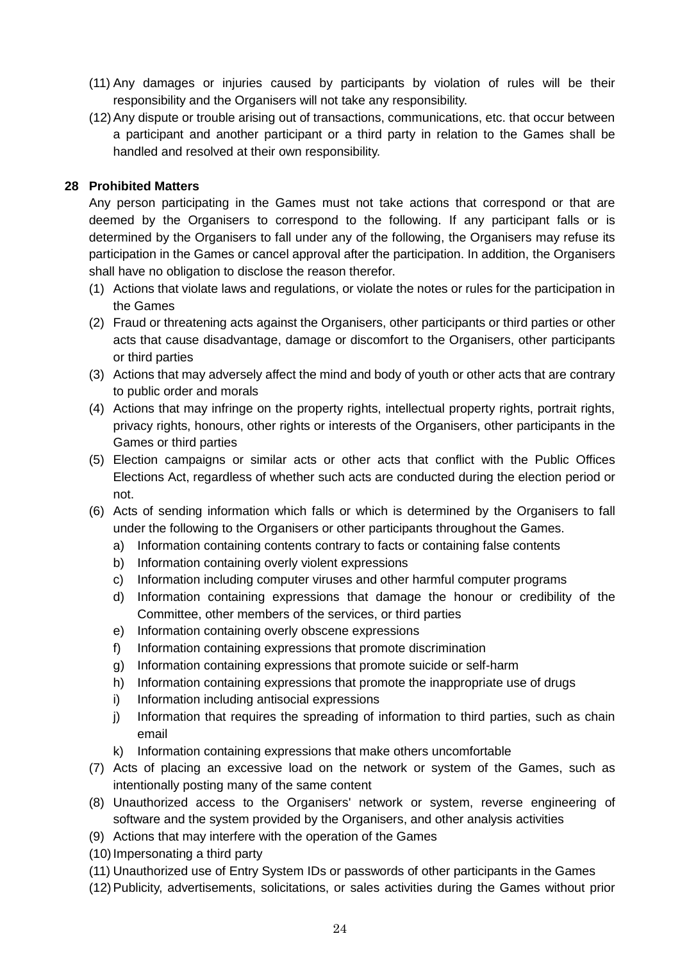- (11) Any damages or injuries caused by participants by violation of rules will be their responsibility and the Organisers will not take any responsibility.
- (12)Any dispute or trouble arising out of transactions, communications, etc. that occur between a participant and another participant or a third party in relation to the Games shall be handled and resolved at their own responsibility.

#### **28 Prohibited Matters**

Any person participating in the Games must not take actions that correspond or that are deemed by the Organisers to correspond to the following. If any participant falls or is determined by the Organisers to fall under any of the following, the Organisers may refuse its participation in the Games or cancel approval after the participation. In addition, the Organisers shall have no obligation to disclose the reason therefor.

- (1) Actions that violate laws and regulations, or violate the notes or rules for the participation in the Games
- (2) Fraud or threatening acts against the Organisers, other participants or third parties or other acts that cause disadvantage, damage or discomfort to the Organisers, other participants or third parties
- (3) Actions that may adversely affect the mind and body of youth or other acts that are contrary to public order and morals
- (4) Actions that may infringe on the property rights, intellectual property rights, portrait rights, privacy rights, honours, other rights or interests of the Organisers, other participants in the Games or third parties
- (5) Election campaigns or similar acts or other acts that conflict with the Public Offices Elections Act, regardless of whether such acts are conducted during the election period or not.
- (6) Acts of sending information which falls or which is determined by the Organisers to fall under the following to the Organisers or other participants throughout the Games.
	- a) Information containing contents contrary to facts or containing false contents
	- b) Information containing overly violent expressions
	- c) Information including computer viruses and other harmful computer programs
	- d) Information containing expressions that damage the honour or credibility of the Committee, other members of the services, or third parties
	- e) Information containing overly obscene expressions
	- f) Information containing expressions that promote discrimination
	- g) Information containing expressions that promote suicide or self-harm
	- h) Information containing expressions that promote the inappropriate use of drugs
	- i) Information including antisocial expressions
	- j) Information that requires the spreading of information to third parties, such as chain email
	- k) Information containing expressions that make others uncomfortable
- (7) Acts of placing an excessive load on the network or system of the Games, such as intentionally posting many of the same content
- (8) Unauthorized access to the Organisers' network or system, reverse engineering of software and the system provided by the Organisers, and other analysis activities
- (9) Actions that may interfere with the operation of the Games
- (10)Impersonating a third party
- (11) Unauthorized use of Entry System IDs or passwords of other participants in the Games
- (12)Publicity, advertisements, solicitations, or sales activities during the Games without prior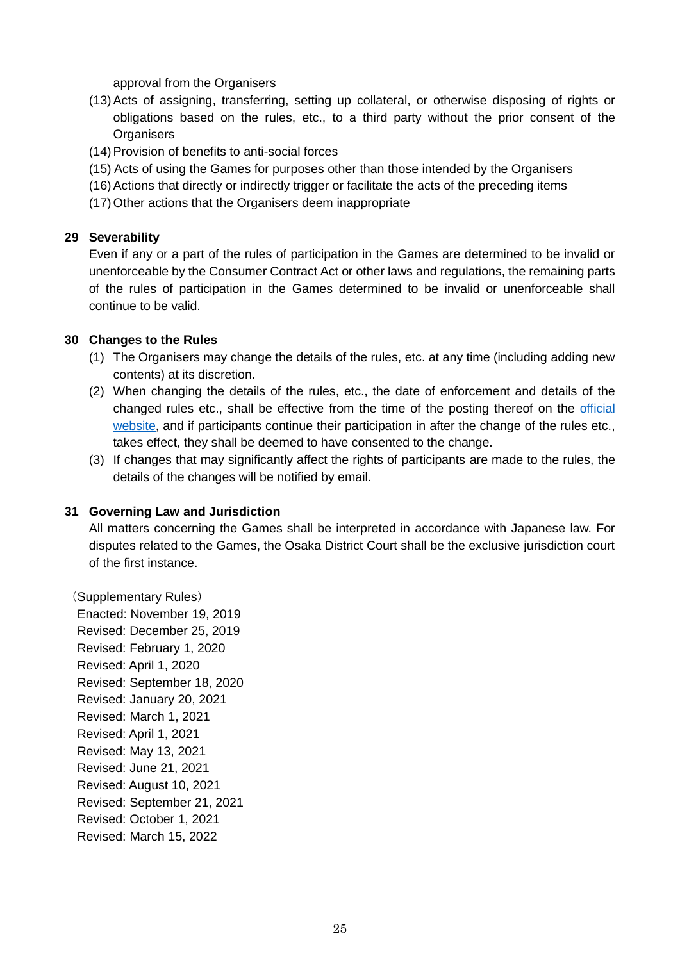approval from the Organisers

- (13)Acts of assigning, transferring, setting up collateral, or otherwise disposing of rights or obligations based on the rules, etc., to a third party without the prior consent of the **Organisers**
- (14)Provision of benefits to anti-social forces
- (15) Acts of using the Games for purposes other than those intended by the Organisers
- (16)Actions that directly or indirectly trigger or facilitate the acts of the preceding items
- (17)Other actions that the Organisers deem inappropriate

#### **29 Severability**

Even if any or a part of the rules of participation in the Games are determined to be invalid or unenforceable by the Consumer Contract Act or other laws and regulations, the remaining parts of the rules of participation in the Games determined to be invalid or unenforceable shall continue to be valid.

#### **30 Changes to the Rules**

- (1) The Organisers may change the details of the rules, etc. at any time (including adding new contents) at its discretion.
- (2) When changing the details of the rules, etc., the date of enforcement and details of the changed rules etc., shall be effective from the time of the posting thereof on the [official](https://www.wmg2021.jp/en/)  [website,](https://www.wmg2021.jp/en/) and if participants continue their participation in after the change of the rules etc., takes effect, they shall be deemed to have consented to the change.
- (3) If changes that may significantly affect the rights of participants are made to the rules, the details of the changes will be notified by email.

#### **31 Governing Law and Jurisdiction**

All matters concerning the Games shall be interpreted in accordance with Japanese law. For disputes related to the Games, the Osaka District Court shall be the exclusive jurisdiction court of the first instance.

(Supplementary Rules) Enacted: November 19, 2019 Revised: December 25, 2019 Revised: February 1, 2020 Revised: April 1, 2020 Revised: September 18, 2020 Revised: January 20, 2021 Revised: March 1, 2021 Revised: April 1, 2021 Revised: May 13, 2021 Revised: June 21, 2021 Revised: August 10, 2021 Revised: September 21, 2021 Revised: October 1, 2021 Revised: March 15, 2022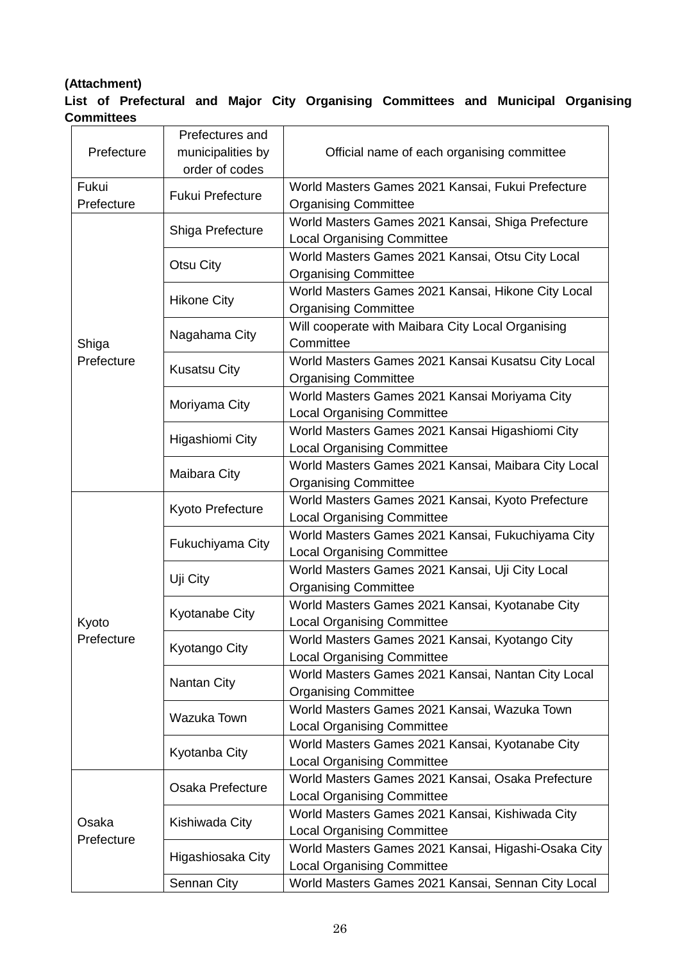# **(Attachment)**

# **List of Prefectural and Major City Organising Committees and Municipal Organising Committees**

| Prefecture          | Prefectures and<br>municipalities by<br>order of codes | Official name of each organising committee                                               |  |
|---------------------|--------------------------------------------------------|------------------------------------------------------------------------------------------|--|
| Fukui<br>Prefecture | <b>Fukui Prefecture</b>                                | World Masters Games 2021 Kansai, Fukui Prefecture<br><b>Organising Committee</b>         |  |
|                     | Shiga Prefecture                                       | World Masters Games 2021 Kansai, Shiga Prefecture<br><b>Local Organising Committee</b>   |  |
|                     | Otsu City                                              | World Masters Games 2021 Kansai, Otsu City Local<br><b>Organising Committee</b>          |  |
|                     | <b>Hikone City</b>                                     | World Masters Games 2021 Kansai, Hikone City Local<br><b>Organising Committee</b>        |  |
| Shiga               | Nagahama City                                          | Will cooperate with Maibara City Local Organising<br>Committee                           |  |
| Prefecture          | <b>Kusatsu City</b>                                    | World Masters Games 2021 Kansai Kusatsu City Local<br><b>Organising Committee</b>        |  |
|                     | Moriyama City                                          | World Masters Games 2021 Kansai Moriyama City<br><b>Local Organising Committee</b>       |  |
|                     | Higashiomi City                                        | World Masters Games 2021 Kansai Higashiomi City<br><b>Local Organising Committee</b>     |  |
|                     | Maibara City                                           | World Masters Games 2021 Kansai, Maibara City Local<br><b>Organising Committee</b>       |  |
|                     | Kyoto Prefecture                                       | World Masters Games 2021 Kansai, Kyoto Prefecture<br><b>Local Organising Committee</b>   |  |
|                     | Fukuchiyama City                                       | World Masters Games 2021 Kansai, Fukuchiyama City<br><b>Local Organising Committee</b>   |  |
|                     | Uji City                                               | World Masters Games 2021 Kansai, Uji City Local<br><b>Organising Committee</b>           |  |
| Kyoto               | Kyotanabe City                                         | World Masters Games 2021 Kansai, Kyotanabe City<br><b>Local Organising Committee</b>     |  |
| Prefecture          | Kyotango City                                          | World Masters Games 2021 Kansai, Kyotango City<br><b>Local Organising Committee</b>      |  |
|                     | Nantan City                                            | World Masters Games 2021 Kansai, Nantan City Local<br><b>Organising Committee</b>        |  |
|                     | Wazuka Town                                            | World Masters Games 2021 Kansai, Wazuka Town<br><b>Local Organising Committee</b>        |  |
|                     | Kyotanba City                                          | World Masters Games 2021 Kansai, Kyotanabe City<br><b>Local Organising Committee</b>     |  |
| Osaka               | Osaka Prefecture                                       | World Masters Games 2021 Kansai, Osaka Prefecture<br><b>Local Organising Committee</b>   |  |
|                     | Kishiwada City                                         | World Masters Games 2021 Kansai, Kishiwada City<br><b>Local Organising Committee</b>     |  |
| Prefecture          | Higashiosaka City                                      | World Masters Games 2021 Kansai, Higashi-Osaka City<br><b>Local Organising Committee</b> |  |
|                     | Sennan City                                            | World Masters Games 2021 Kansai, Sennan City Local                                       |  |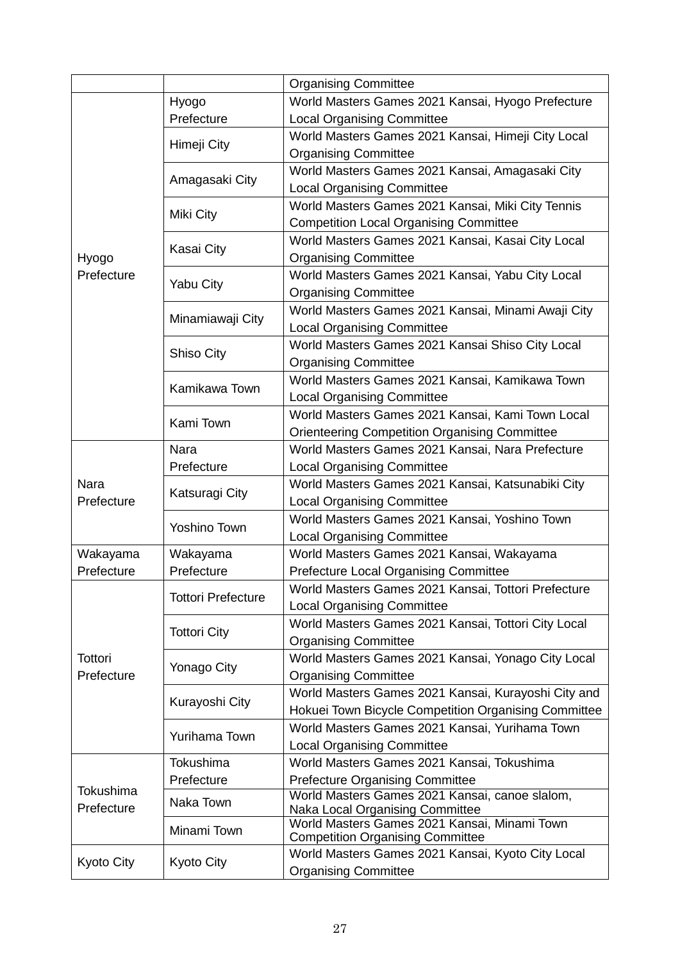|                              |                           | <b>Organising Committee</b>                                                     |
|------------------------------|---------------------------|---------------------------------------------------------------------------------|
|                              | Hyogo                     | World Masters Games 2021 Kansai, Hyogo Prefecture                               |
|                              | Prefecture                | <b>Local Organising Committee</b>                                               |
|                              |                           | World Masters Games 2021 Kansai, Himeji City Local                              |
|                              | Himeji City               | <b>Organising Committee</b>                                                     |
|                              |                           | World Masters Games 2021 Kansai, Amagasaki City                                 |
|                              | Amagasaki City            | <b>Local Organising Committee</b>                                               |
|                              |                           | World Masters Games 2021 Kansai, Miki City Tennis                               |
|                              | Miki City                 | <b>Competition Local Organising Committee</b>                                   |
|                              |                           | World Masters Games 2021 Kansai, Kasai City Local                               |
| Hyogo                        | Kasai City                | <b>Organising Committee</b>                                                     |
| Prefecture                   |                           | World Masters Games 2021 Kansai, Yabu City Local                                |
|                              | Yabu City                 | <b>Organising Committee</b>                                                     |
|                              |                           | World Masters Games 2021 Kansai, Minami Awaji City                              |
|                              | Minamiawaji City          | <b>Local Organising Committee</b>                                               |
|                              |                           | World Masters Games 2021 Kansai Shiso City Local                                |
|                              | <b>Shiso City</b>         | <b>Organising Committee</b>                                                     |
|                              | Kamikawa Town             | World Masters Games 2021 Kansai, Kamikawa Town                                  |
|                              |                           | <b>Local Organising Committee</b>                                               |
|                              | Kami Town                 | World Masters Games 2021 Kansai, Kami Town Local                                |
|                              |                           | <b>Orienteering Competition Organising Committee</b>                            |
|                              | Nara                      | World Masters Games 2021 Kansai, Nara Prefecture                                |
|                              | Prefecture                | <b>Local Organising Committee</b>                                               |
| Nara                         | Katsuragi City            | World Masters Games 2021 Kansai, Katsunabiki City                               |
| Prefecture                   |                           | <b>Local Organising Committee</b>                                               |
|                              | <b>Yoshino Town</b>       | World Masters Games 2021 Kansai, Yoshino Town                                   |
|                              |                           | <b>Local Organising Committee</b>                                               |
| Wakayama                     | Wakayama                  | World Masters Games 2021 Kansai, Wakayama                                       |
| Prefecture                   | Prefecture                | Prefecture Local Organising Committee                                           |
|                              | <b>Tottori Prefecture</b> | World Masters Games 2021 Kansai, Tottori Prefecture                             |
|                              |                           | <b>Local Organising Committee</b>                                               |
|                              | <b>Tottori City</b>       | World Masters Games 2021 Kansai, Tottori City Local                             |
| <b>Tottori</b><br>Prefecture |                           | <b>Organising Committee</b>                                                     |
|                              | Yonago City               | World Masters Games 2021 Kansai, Yonago City Local                              |
|                              |                           | <b>Organising Committee</b>                                                     |
|                              | Kurayoshi City            | World Masters Games 2021 Kansai, Kurayoshi City and                             |
|                              |                           | Hokuei Town Bicycle Competition Organising Committee                            |
|                              | Yurihama Town             | World Masters Games 2021 Kansai, Yurihama Town                                  |
|                              |                           | <b>Local Organising Committee</b>                                               |
| Tokushima<br>Prefecture      | Tokushima                 | World Masters Games 2021 Kansai, Tokushima                                      |
|                              | Prefecture                | <b>Prefecture Organising Committee</b>                                          |
|                              | Naka Town                 | World Masters Games 2021 Kansai, canoe slalom,                                  |
|                              |                           | Naka Local Organising Committee<br>World Masters Games 2021 Kansai, Minami Town |
|                              | Minami Town               | <b>Competition Organising Committee</b>                                         |
|                              |                           | World Masters Games 2021 Kansai, Kyoto City Local                               |
| <b>Kyoto City</b>            | <b>Kyoto City</b>         | <b>Organising Committee</b>                                                     |